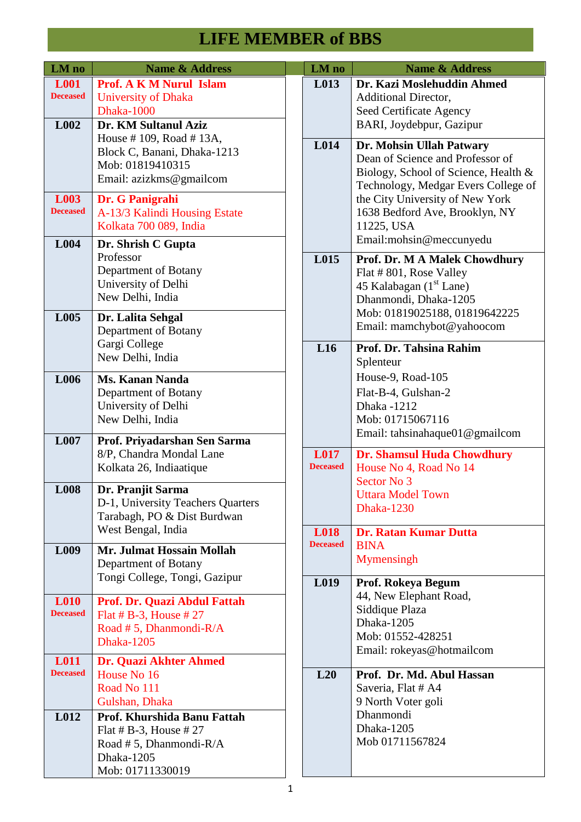| LM no                                  | <b>Name &amp; Address</b>                                                                                                                                                                     |  | LM no                          | <b>Name &amp; Address</b>                                                                                                                          |
|----------------------------------------|-----------------------------------------------------------------------------------------------------------------------------------------------------------------------------------------------|--|--------------------------------|----------------------------------------------------------------------------------------------------------------------------------------------------|
| <b>L001</b><br><b>Deceased</b><br>L002 | <b>Prof. A K M Nurul Islam</b><br><b>University of Dhaka</b><br>Dhaka-1000<br>Dr. KM Sultanul Aziz                                                                                            |  | L013                           | Dr. Kazi Moslehuddin Ahmed<br><b>Additional Director,</b><br>Seed Certificate Agency<br>BARI, Joydebpur, Gazipur                                   |
|                                        | House #109, Road #13A,<br>Block C, Banani, Dhaka-1213<br>Mob: 01819410315<br>Email: azizkms@gmailcom                                                                                          |  | L014                           | Dr. Mohsin Ullah Patwary<br>Dean of Science and Professor of<br>Biology, School of Science, Health &<br>Technology, Medgar Evers College of        |
| L003<br><b>Deceased</b>                | Dr. G Panigrahi<br>A-13/3 Kalindi Housing Estate<br>Kolkata 700 089, India                                                                                                                    |  |                                | the City University of New York<br>1638 Bedford Ave, Brooklyn, NY<br>11225, USA                                                                    |
| L004                                   | Dr. Shrish C Gupta<br>Professor<br>Department of Botany<br>University of Delhi<br>New Delhi, India                                                                                            |  | L015                           | Email:mohsin@meccunyedu<br>Prof. Dr. M A Malek Chowdhury<br>Flat #801, Rose Valley<br>45 Kalabagan (1 <sup>st</sup> Lane)<br>Dhanmondi, Dhaka-1205 |
| L005                                   | Dr. Lalita Sehgal<br>Department of Botany<br>Gargi College                                                                                                                                    |  | L16                            | Mob: 01819025188, 01819642225<br>Email: mamchybot@yahoocom<br>Prof. Dr. Tahsina Rahim                                                              |
| L006                                   | New Delhi, India<br><b>Ms. Kanan Nanda</b><br>Department of Botany<br>University of Delhi<br>New Delhi, India                                                                                 |  |                                | Splenteur<br>House-9, Road-105<br>Flat-B-4, Gulshan-2<br>Dhaka -1212<br>Mob: 01715067116<br>Email: tahsinahaque01@gmailcom                         |
| L007                                   | Prof. Priyadarshan Sen Sarma<br>8/P, Chandra Mondal Lane<br>Kolkata 26, Indiaatique                                                                                                           |  | <b>L017</b><br><b>Deceased</b> | <b>Dr. Shamsul Huda Chowdhury</b><br>House No 4, Road No 14<br>Sector No 3<br><b>Uttara Model Town</b><br><b>Dhaka-1230</b>                        |
| <b>L008</b>                            | Dr. Pranjit Sarma<br>D-1, University Teachers Quarters<br>Tarabagh, PO & Dist Burdwan                                                                                                         |  |                                |                                                                                                                                                    |
| L <sub>009</sub>                       | West Bengal, India<br>Mr. Julmat Hossain Mollah<br>Department of Botany                                                                                                                       |  | <b>L018</b><br><b>Deceased</b> | <b>Dr. Ratan Kumar Dutta</b><br><b>BINA</b><br>Mymensingh                                                                                          |
| L <sub>010</sub><br><b>Deceased</b>    | Tongi College, Tongi, Gazipur<br>Prof. Dr. Quazi Abdul Fattah<br>Flat # B-3, House # $27$<br>Road #5, Dhanmondi-R/A<br><b>Dhaka-1205</b>                                                      |  | L019                           | Prof. Rokeya Begum<br>44, New Elephant Road,<br>Siddique Plaza<br>Dhaka-1205<br>Mob: 01552-428251<br>Email: rokeyas@hotmailcom                     |
| <b>L011</b><br><b>Deceased</b><br>L012 | Dr. Quazi Akhter Ahmed<br>House No 16<br>Road No 111<br>Gulshan, Dhaka<br>Prof. Khurshida Banu Fattah<br>Flat # B-3, House # $27$<br>Road #5, Dhanmondi-R/A<br>Dhaka-1205<br>Mob: 01711330019 |  | L20                            | Prof. Dr. Md. Abul Hassan<br>Saveria, Flat # A4<br>9 North Voter goli<br>Dhanmondi<br>Dhaka-1205<br>Mob 01711567824                                |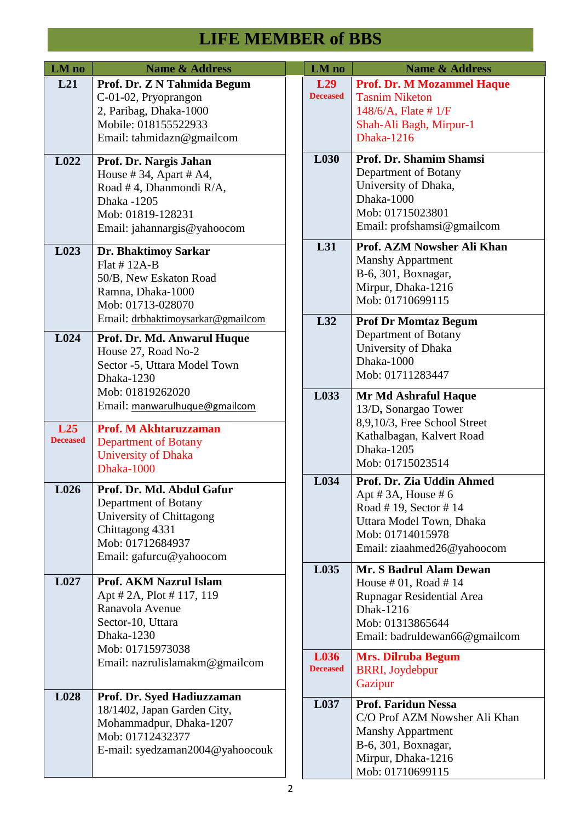| LM no                  | <b>Name &amp; Address</b>                                                                                                                                    | LM no                   | <b>Name &amp; Address</b>                                                                                                                                 |
|------------------------|--------------------------------------------------------------------------------------------------------------------------------------------------------------|-------------------------|-----------------------------------------------------------------------------------------------------------------------------------------------------------|
| L21                    | Prof. Dr. Z N Tahmida Begum<br>C-01-02, Pryoprangon<br>2, Paribag, Dhaka-1000<br>Mobile: 018155522933<br>Email: tahmidazn@gmailcom                           | L29<br><b>Deceased</b>  | <b>Prof. Dr. M Mozammel Haque</b><br><b>Tasnim Niketon</b><br>$148/6/A$ , Flate # 1/F<br>Shah-Ali Bagh, Mirpur-1<br><b>Dhaka-1216</b>                     |
| L <sub>022</sub>       | Prof. Dr. Nargis Jahan<br>House #34, Apart # $A4$ ,<br>Road #4, Dhanmondi R/A,<br>Dhaka -1205<br>Mob: 01819-128231<br>Email: jahannargis@yahoocom            | L030                    | Prof. Dr. Shamim Shamsi<br>Department of Botany<br>University of Dhaka,<br>Dhaka-1000<br>Mob: 01715023801<br>Email: profshamsi@gmailcom                   |
| L023                   | Dr. Bhaktimoy Sarkar<br>Flat $# 12A-B$<br>50/B, New Eskaton Road<br>Ramna, Dhaka-1000<br>Mob: 01713-028070                                                   | L31                     | Prof. AZM Nowsher Ali Khan<br><b>Manshy Appartment</b><br>B-6, 301, Boxnagar,<br>Mirpur, Dhaka-1216<br>Mob: 01710699115                                   |
| L024                   | Email: drbhaktimoysarkar@gmailcom<br>Prof. Dr. Md. Anwarul Huque<br>House 27, Road No-2<br>Sector -5, Uttara Model Town<br>Dhaka-1230                        | L32                     | <b>Prof Dr Momtaz Begum</b><br>Department of Botany<br>University of Dhaka<br>Dhaka-1000<br>Mob: 01711283447                                              |
| L25<br><b>Deceased</b> | Mob: 01819262020<br>Email: manwarulhuque@gmailcom<br><b>Prof. M Akhtaruzzaman</b><br><b>Department of Botany</b><br><b>University of Dhaka</b><br>Dhaka-1000 | L033                    | Mr Md Ashraful Haque<br>13/D, Sonargao Tower<br>8,9,10/3, Free School Street<br>Kathalbagan, Kalvert Road<br>Dhaka-1205<br>Mob: 01715023514               |
| L026                   | Prof. Dr. Md. Abdul Gafur<br>Department of Botany<br>University of Chittagong<br>Chittagong 4331<br>Mob: 01712684937<br>Email: gafurcu@yahoocom              | L034                    | Prof. Dr. Zia Uddin Ahmed<br>Apt # $3A$ , House # 6<br>Road #19, Sector #14<br>Uttara Model Town, Dhaka<br>Mob: 01714015978<br>Email: ziaahmed26@yahoocom |
| L027                   | <b>Prof. AKM Nazrul Islam</b><br>Apt # 2A, Plot # 117, 119<br>Ranavola Avenue<br>Sector-10, Uttara<br>Dhaka-1230<br>Mob: 01715973038                         | L035                    | Mr. S Badrul Alam Dewan<br>House $#01$ , Road $#14$<br>Rupnagar Residential Area<br>Dhak-1216<br>Mob: 01313865644<br>Email: badruldewan66@gmailcom        |
|                        | Email: nazrulislamakm@gmailcom                                                                                                                               | L036<br><b>Deceased</b> | <b>Mrs. Dilruba Begum</b><br><b>BRRI</b> , Joydebpur<br>Gazipur                                                                                           |
| L028                   | Prof. Dr. Syed Hadiuzzaman<br>18/1402, Japan Garden City,<br>Mohammadpur, Dhaka-1207<br>Mob: 01712432377<br>E-mail: syedzaman2004@yahoocouk                  | L037                    | <b>Prof. Faridun Nessa</b><br>C/O Prof AZM Nowsher Ali Khan<br><b>Manshy Appartment</b><br>B-6, 301, Boxnagar,<br>Mirpur, Dhaka-1216<br>Mob: 01710699115  |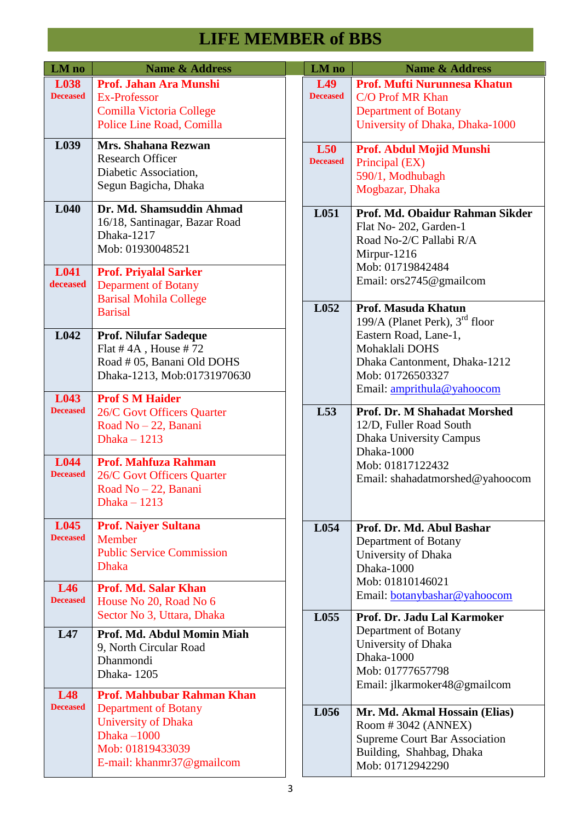| LM no                   | <b>Name &amp; Address</b>                                                                                                                                           |  | LM no                              | <b>Name &amp; Address</b>                                                                                                                                     |
|-------------------------|---------------------------------------------------------------------------------------------------------------------------------------------------------------------|--|------------------------------------|---------------------------------------------------------------------------------------------------------------------------------------------------------------|
| L038<br><b>Deceased</b> | Prof. Jahan Ara Munshi<br>Ex-Professor<br><b>Comilla Victoria College</b><br>Police Line Road, Comilla                                                              |  | L <sub>49</sub><br><b>Deceased</b> | <b>Prof. Mufti Nurunnesa Khatun</b><br>C/O Prof MR Khan<br><b>Department of Botany</b><br>University of Dhaka, Dhaka-1000                                     |
| L039                    | Mrs. Shahana Rezwan<br><b>Research Officer</b><br>Diabetic Association,<br>Segun Bagicha, Dhaka                                                                     |  | L50<br><b>Deceased</b>             | Prof. Abdul Mojid Munshi<br>Principal (EX)<br>590/1, Modhubagh<br>Mogbazar, Dhaka                                                                             |
| L <sub>040</sub>        | Dr. Md. Shamsuddin Ahmad<br>16/18, Santinagar, Bazar Road<br>Dhaka-1217<br>Mob: 01930048521                                                                         |  | L051                               | Prof. Md. Obaidur Rahman Sikder<br>Flat No-202, Garden-1<br>Road No-2/C Pallabi R/A<br>Mirpur-1216<br>Mob: 01719842484                                        |
| L041<br>deceased        | <b>Prof. Priyalal Sarker</b><br><b>Deparment of Botany</b><br><b>Barisal Mohila College</b>                                                                         |  | L052                               | Email: ors2745@gmailcom<br>Prof. Masuda Khatun                                                                                                                |
| L042<br>L043            | <b>Barisal</b><br><b>Prof. Nilufar Sadeque</b><br>Flat $# 4A$ , House $# 72$<br>Road # 05, Banani Old DOHS<br>Dhaka-1213, Mob:01731970630<br><b>Prof S M Haider</b> |  |                                    | 199/A (Planet Perk), $3rd$ floor<br>Eastern Road, Lane-1,<br>Mohaklali DOHS<br>Dhaka Cantonment, Dhaka-1212<br>Mob: 01726503327<br>Email: amprithula@yahoocom |
| <b>Deceased</b>         | 26/C Govt Officers Quarter<br>Road No - 22, Banani<br>Dhaka $-1213$                                                                                                 |  | L53<br>L054                        | Prof. Dr. M Shahadat Morshed<br>12/D, Fuller Road South<br>Dhaka University Campus<br>Dhaka-1000<br>Mob: 01817122432<br>Email: shahadatmorshed@yahoocom       |
| L044<br><b>Deceased</b> | <b>Prof. Mahfuza Rahman</b><br>26/C Govt Officers Quarter<br>Road No - 22, Banani<br>Dhaka $-1213$                                                                  |  |                                    |                                                                                                                                                               |
| L045<br><b>Deceased</b> | <b>Prof. Naiyer Sultana</b><br>Member<br><b>Public Service Commission</b><br><b>Dhaka</b>                                                                           |  |                                    | Prof. Dr. Md. Abul Bashar<br>Department of Botany<br>University of Dhaka<br>Dhaka-1000<br>Mob: 01810146021                                                    |
| L46<br><b>Deceased</b>  | Prof. Md. Salar Khan<br>House No 20, Road No 6                                                                                                                      |  |                                    | Email: botanybashar@yahoocom                                                                                                                                  |
| L47<br>L48              | Sector No 3, Uttara, Dhaka<br>Prof. Md. Abdul Momin Miah<br>9, North Circular Road<br>Dhanmondi<br>Dhaka-1205<br><b>Prof. Mahbubar Rahman Khan</b>                  |  | L055                               | Prof. Dr. Jadu Lal Karmoker<br>Department of Botany<br>University of Dhaka<br>Dhaka-1000<br>Mob: 01777657798<br>Email: jlkarmoker48@gmailcom                  |
| <b>Deceased</b>         | <b>Department of Botany</b><br><b>University of Dhaka</b><br>Dhaka $-1000$<br>Mob: 01819433039<br>E-mail: khanmr37@gmailcom                                         |  | L056                               | Mr. Md. Akmal Hossain (Elias)<br>Room $\#$ 3042 (ANNEX)<br><b>Supreme Court Bar Association</b><br>Building, Shahbag, Dhaka<br>Mob: 01712942290               |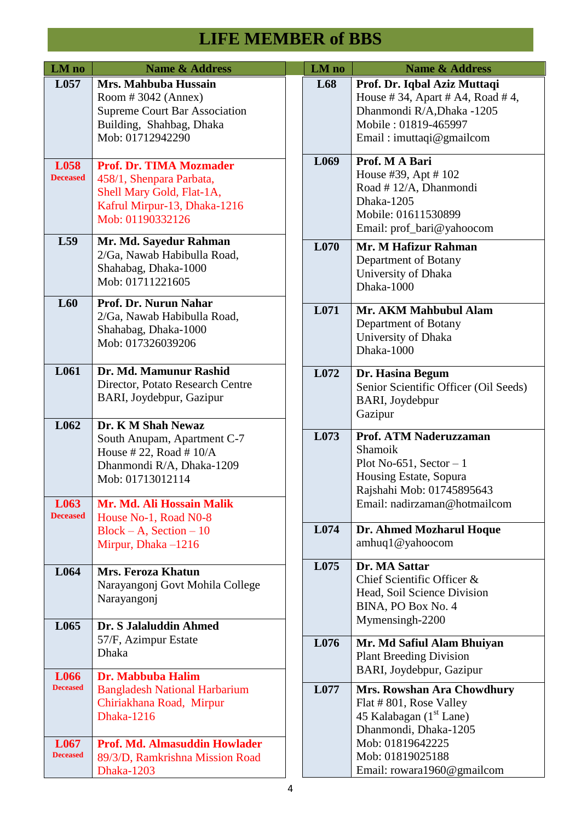| LM no                   | <b>Name &amp; Address</b>                                                                                                                   | LM no            | <b>Name &amp; Address</b>                                                                                                                        |
|-------------------------|---------------------------------------------------------------------------------------------------------------------------------------------|------------------|--------------------------------------------------------------------------------------------------------------------------------------------------|
| L <sub>057</sub>        | Mrs. Mahbuba Hussain<br>Room # 3042 (Annex)<br><b>Supreme Court Bar Association</b><br>Building, Shahbag, Dhaka<br>Mob: 01712942290         | L68              | Prof. Dr. Iqbal Aziz Muttaqi<br>House #34, Apart #A4, Road #4,<br>Dhanmondi R/A, Dhaka -1205<br>Mobile: 01819-465997<br>Email: imuttaqi@gmailcom |
| L058<br><b>Deceased</b> | <b>Prof. Dr. TIMA Mozmader</b><br>458/1, Shenpara Parbata,<br>Shell Mary Gold, Flat-1A,<br>Kafrul Mirpur-13, Dhaka-1216<br>Mob: 01190332126 | L <sub>069</sub> | Prof. M A Bari<br>House #39, Apt #102<br>Road #12/A, Dhanmondi<br><b>Dhaka-1205</b><br>Mobile: 01611530899<br>Email: prof_bari@yahoocom          |
| L59                     | Mr. Md. Sayedur Rahman<br>2/Ga, Nawab Habibulla Road,<br>Shahabag, Dhaka-1000<br>Mob: 01711221605                                           | L <sub>070</sub> | Mr. M Hafizur Rahman<br>Department of Botany<br>University of Dhaka<br>Dhaka-1000                                                                |
| L60                     | Prof. Dr. Nurun Nahar<br>2/Ga, Nawab Habibulla Road,<br>Shahabag, Dhaka-1000<br>Mob: 017326039206                                           | L071             | Mr. AKM Mahbubul Alam<br>Department of Botany<br>University of Dhaka<br>Dhaka-1000                                                               |
| L061                    | Dr. Md. Mamunur Rashid<br>Director, Potato Research Centre<br>BARI, Joydebpur, Gazipur                                                      | L072             | Dr. Hasina Begum<br>Senior Scientific Officer (Oil Seeds)<br>BARI, Joydebpur<br>Gazipur                                                          |
| L062                    | Dr. K M Shah Newaz<br>South Anupam, Apartment C-7<br>House #22, Road # $10/A$<br>Dhanmondi R/A, Dhaka-1209<br>Mob: 01713012114              | L073             | Prof. ATM Naderuzzaman<br>Shamoik<br>Plot No-651, Sector $-1$<br>Housing Estate, Sopura<br>Rajshahi Mob: 01745895643                             |
| L063<br><b>Deceased</b> | Mr. Md. Ali Hossain Malik<br>House No-1, Road N0-8<br>$Block - A$ , Section $-10$<br>Mirpur, Dhaka -1216                                    | L074             | Email: nadirzaman@hotmailcom<br>Dr. Ahmed Mozharul Hoque<br>amhuq1@yahoocom                                                                      |
| L064                    | <b>Mrs. Feroza Khatun</b><br>Narayangonj Govt Mohila College<br>Narayangonj                                                                 | L075             | Dr. MA Sattar<br>Chief Scientific Officer &<br>Head, Soil Science Division<br>BINA, PO Box No. 4<br>Mymensingh-2200                              |
| L065                    | Dr. S Jalaluddin Ahmed<br>57/F, Azimpur Estate<br><b>Dhaka</b>                                                                              | L076             | Mr. Md Safiul Alam Bhuiyan<br><b>Plant Breeding Division</b><br>BARI, Joydebpur, Gazipur                                                         |
| L066<br><b>Deceased</b> | Dr. Mabbuba Halim<br><b>Bangladesh National Harbarium</b><br>Chiriakhana Road, Mirpur<br><b>Dhaka-1216</b>                                  | L077             | Mrs. Rowshan Ara Chowdhury<br>Flat #801, Rose Valley<br>45 Kalabagan (1 <sup>st</sup> Lane)<br>Dhanmondi, Dhaka-1205                             |
| L067<br><b>Deceased</b> | Prof. Md. Almasuddin Howlader<br>89/3/D, Ramkrishna Mission Road<br><b>Dhaka-1203</b>                                                       |                  | Mob: 01819642225<br>Mob: 01819025188<br>Email: rowara1960@gmailcom                                                                               |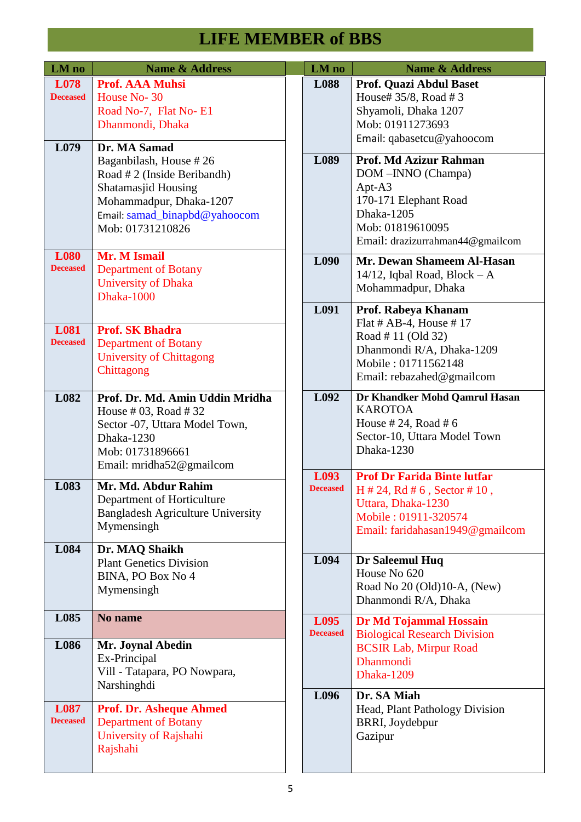| LM no                          | <b>Name &amp; Address</b>                                                                                                                                                           | LM no                   | <b>Name &amp; Address</b>                                                                                                                                       |
|--------------------------------|-------------------------------------------------------------------------------------------------------------------------------------------------------------------------------------|-------------------------|-----------------------------------------------------------------------------------------------------------------------------------------------------------------|
| L078<br><b>Deceased</b>        | <b>Prof. AAA Muhsi</b><br>House No-30<br>Road No-7, Flat No-E1<br>Dhanmondi, Dhaka                                                                                                  | L088                    | Prof. Quazi Abdul Baset<br>House# 35/8, Road # 3<br>Shyamoli, Dhaka 1207<br>Mob: 01911273693<br>Email: qabasetcu@yahoocom                                       |
| L079                           | Dr. MA Samad<br>Baganbilash, House #26<br>Road # 2 (Inside Beribandh)<br><b>Shatamasjid Housing</b><br>Mohammadpur, Dhaka-1207<br>Email: samad_binapbd@yahoocom<br>Mob: 01731210826 | L089                    | Prof. Md Azizur Rahman<br>DOM-INNO (Champa)<br>Apt-A3<br>170-171 Elephant Road<br>Dhaka-1205<br>Mob: 01819610095<br>Email: drazizurrahman44@gmailcom            |
| <b>L080</b><br><b>Deceased</b> | Mr. M Ismail<br><b>Department of Botany</b><br><b>University of Dhaka</b><br><b>Dhaka-1000</b>                                                                                      | L090                    | Mr. Dewan Shameem Al-Hasan<br>14/12, Iqbal Road, Block $-A$<br>Mohammadpur, Dhaka                                                                               |
| L081<br><b>Deceased</b>        | <b>Prof. SK Bhadra</b><br><b>Department of Botany</b><br><b>University of Chittagong</b><br>Chittagong                                                                              | L091                    | Prof. Rabeya Khanam<br>Flat # AB-4, House #17<br>Road #11 (Old 32)<br>Dhanmondi R/A, Dhaka-1209<br>Mobile: 01711562148<br>Email: rebazahed@gmailcom             |
| L082                           | Prof. Dr. Md. Amin Uddin Mridha<br>House # 03, Road # 32<br>Sector -07, Uttara Model Town,<br>Dhaka-1230<br>Mob: 01731896661<br>Email: mridha52@gmailcom                            | L092                    | Dr Khandker Mohd Qamrul Hasan<br><b>KAROTOA</b><br>House # 24, Road # 6<br>Sector-10, Uttara Model Town<br>Dhaka-1230                                           |
| L083                           | Mr. Md. Abdur Rahim<br>Department of Horticulture<br><b>Bangladesh Agriculture University</b><br>Mymensingh                                                                         | L093<br><b>Deceased</b> | <b>Prof Dr Farida Binte lutfar</b><br>$H \# 24$ , Rd $\# 6$ , Sector $\# 10$ ,<br>Uttara, Dhaka-1230<br>Mobile: 01911-320574<br>Email: faridahasan1949@gmailcom |
| L084                           | Dr. MAQ Shaikh<br><b>Plant Genetics Division</b><br>BINA, PO Box No 4<br>Mymensingh                                                                                                 | L094                    | Dr Saleemul Huq<br>House No 620<br>Road No 20 (Old)10-A, (New)<br>Dhanmondi R/A, Dhaka                                                                          |
| L085                           | No name                                                                                                                                                                             | L095<br><b>Deceased</b> | Dr Md Tojammal Hossain                                                                                                                                          |
| L086                           | Mr. Joynal Abedin<br>Ex-Principal<br>Vill - Tatapara, PO Nowpara,<br>Narshinghdi                                                                                                    |                         | <b>Biological Research Division</b><br><b>BCSIR Lab, Mirpur Road</b><br><b>Dhanmondi</b><br><b>Dhaka-1209</b>                                                   |
| L087<br><b>Deceased</b>        | <b>Prof. Dr. Asheque Ahmed</b><br><b>Department of Botany</b><br>University of Rajshahi<br>Rajshahi                                                                                 | L096                    | Dr. SA Miah<br>Head, Plant Pathology Division<br>BRRI, Joydebpur<br>Gazipur                                                                                     |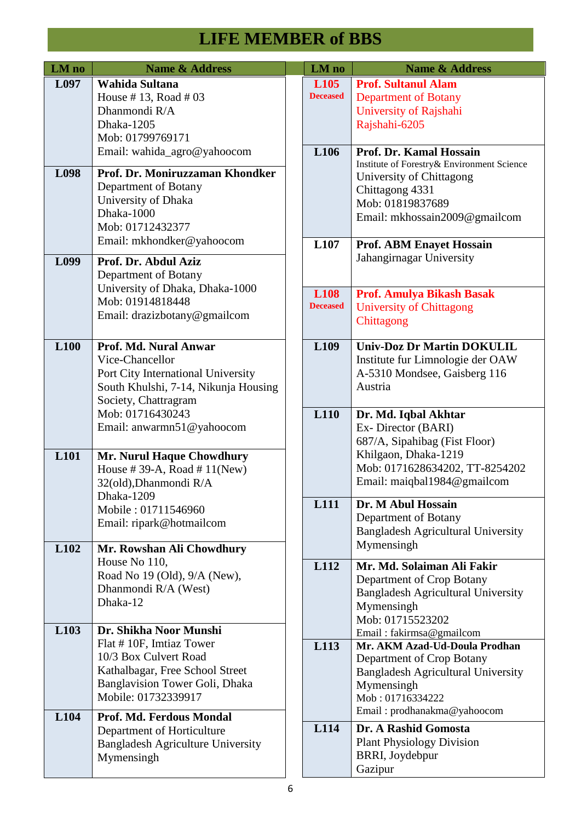| LM no            | <b>Name &amp; Address</b>                                                                                                                                                    | LM no                               | <b>Name &amp; Address</b>                                                                                                                                                                            |
|------------------|------------------------------------------------------------------------------------------------------------------------------------------------------------------------------|-------------------------------------|------------------------------------------------------------------------------------------------------------------------------------------------------------------------------------------------------|
| L097             | Wahida Sultana<br>House #13, Road #03<br>Dhanmondi R/A<br>Dhaka-1205<br>Mob: 01799769171                                                                                     | L <sub>105</sub><br><b>Deceased</b> | <b>Prof. Sultanul Alam</b><br><b>Department of Botany</b><br>University of Rajshahi<br>Rajshahi-6205<br>Prof. Dr. Kamal Hossain                                                                      |
| L098             | Email: wahida_agro@yahoocom<br>Prof. Dr. Moniruzzaman Khondker<br>Department of Botany<br>University of Dhaka<br>Dhaka-1000<br>Mob: 01712432377<br>Email: mkhondker@yahoocom | L106<br>L107                        | Institute of Forestry& Environment Science<br>University of Chittagong<br>Chittagong 4331<br>Mob: 01819837689<br>Email: mkhossain2009@gmailcom<br><b>Prof. ABM Enayet Hossain</b>                    |
| L099             | Prof. Dr. Abdul Aziz<br>Department of Botany<br>University of Dhaka, Dhaka-1000<br>Mob: 01914818448<br>Email: drazizbotany@gmailcom                                          | <b>L108</b><br><b>Deceased</b>      | Jahangirnagar University<br><b>Prof. Amulya Bikash Basak</b><br><b>University of Chittagong</b><br>Chittagong                                                                                        |
| L <sub>100</sub> | Prof. Md. Nural Anwar<br>Vice-Chancellor<br>Port City International University<br>South Khulshi, 7-14, Nikunja Housing<br>Society, Chattragram<br>Mob: 01716430243           | L <sub>109</sub><br>L110            | <b>Univ-Doz Dr Martin DOKULIL</b><br>Institute fur Limnologie der OAW<br>A-5310 Mondsee, Gaisberg 116<br>Austria<br>Dr. Md. Iqbal Akhtar                                                             |
| L101             | Email: anwarmn51@yahoocom<br>Mr. Nurul Haque Chowdhury<br>House #39-A, Road #11(New)<br>32(old), Dhanmondi R/A                                                               |                                     | Ex-Director (BARI)<br>687/A, Sipahibag (Fist Floor)<br>Khilgaon, Dhaka-1219<br>Mob: 0171628634202, TT-8254202<br>Email: maiqbal1984@gmailcom                                                         |
| L <sub>102</sub> | Dhaka-1209<br>Mobile: 01711546960<br>Email: ripark@hotmailcom<br>Mr. Rowshan Ali Chowdhury                                                                                   | L111                                | Dr. M Abul Hossain<br>Department of Botany<br><b>Bangladesh Agricultural University</b><br>Mymensingh                                                                                                |
|                  | House No 110,<br>Road No 19 (Old), 9/A (New),<br>Dhanmondi R/A (West)<br>Dhaka-12                                                                                            | L112                                | Mr. Md. Solaiman Ali Fakir<br>Department of Crop Botany<br><b>Bangladesh Agricultural University</b><br>Mymensingh<br>Mob: 01715523202                                                               |
| L <sub>103</sub> | Dr. Shikha Noor Munshi<br>Flat #10F, Imtiaz Tower<br>10/3 Box Culvert Road<br>Kathalbagar, Free School Street<br>Banglavision Tower Goli, Dhaka<br>Mobile: 01732339917       | L113                                | Email: fakirmsa@gmailcom<br>Mr. AKM Azad-Ud-Doula Prodhan<br>Department of Crop Botany<br><b>Bangladesh Agricultural University</b><br>Mymensingh<br>Mob: 01716334222<br>Email: prodhanakma@yahoocom |
| L104             | Prof. Md. Ferdous Mondal<br>Department of Horticulture<br><b>Bangladesh Agriculture University</b><br>Mymensingh                                                             | L114                                | Dr. A Rashid Gomosta<br><b>Plant Physiology Division</b><br>BRRI, Joydebpur<br>Gazipur                                                                                                               |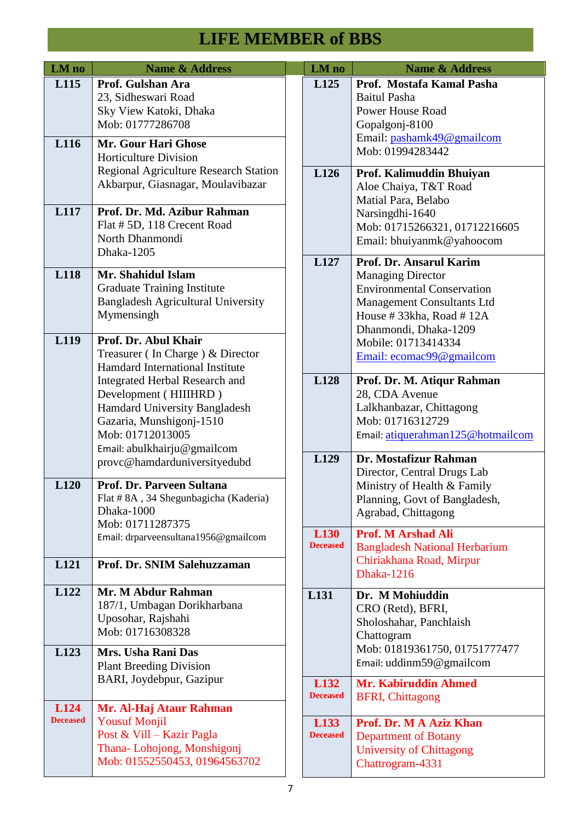| LM no           | <b>Name &amp; Address</b>                                                                                                                                                                                         |  | LM no                   | <b>Name &amp; Address</b>                                                                                                                                                                                                            |
|-----------------|-------------------------------------------------------------------------------------------------------------------------------------------------------------------------------------------------------------------|--|-------------------------|--------------------------------------------------------------------------------------------------------------------------------------------------------------------------------------------------------------------------------------|
| L115<br>L116    | Prof. Gulshan Ara<br>23, Sidheswari Road<br>Sky View Katoki, Dhaka<br>Mob: 01777286708<br>Mr. Gour Hari Ghose                                                                                                     |  | L125                    | Prof. Mostafa Kamal Pasha<br><b>Baitul Pasha</b><br><b>Power House Road</b><br>Gopalgonj-8100<br>Email: pashamk49@gmailcom                                                                                                           |
|                 | <b>Horticulture Division</b><br><b>Regional Agriculture Research Station</b><br>Akbarpur, Giasnagar, Moulavibazar                                                                                                 |  | L126                    | Mob: 01994283442<br>Prof. Kalimuddin Bhuiyan<br>Aloe Chaiya, T&T Road<br>Matial Para, Belabo                                                                                                                                         |
| L117            | Prof. Dr. Md. Azibur Rahman<br>Flat # 5D, 118 Crecent Road<br>North Dhanmondi<br>Dhaka-1205                                                                                                                       |  |                         | Narsingdhi-1640<br>Mob: 01715266321, 01712216605<br>Email: bhuiyanmk@yahoocom                                                                                                                                                        |
| L118<br>L119    | Mr. Shahidul Islam<br><b>Graduate Training Institute</b><br><b>Bangladesh Agricultural University</b><br>Mymensingh<br>Prof. Dr. Abul Khair<br>Treasurer (In Charge) & Director                                   |  | L127                    | Prof. Dr. Ansarul Karim<br><b>Managing Director</b><br><b>Environmental Conservation</b><br><b>Management Consultants Ltd</b><br>House #33kha, Road #12A<br>Dhanmondi, Dhaka-1209<br>Mobile: 01713414334<br>Email: ecomac99@gmailcom |
|                 | Hamdard International Institute<br><b>Integrated Herbal Research and</b><br>Development (HIIIHRD)<br>Hamdard University Bangladesh<br>Gazaria, Munshigonj-1510<br>Mob: 01712013005<br>Email: abulkhairju@gmailcom |  | L128                    | Prof. Dr. M. Atiqur Rahman<br>28, CDA Avenue<br>Lalkhanbazar, Chittagong<br>Mob: 01716312729<br>Email: atiquerahman125@hotmailcom                                                                                                    |
| L120            | provc@hamdarduniversityedubd<br>Prof. Dr. Parveen Sultana<br>Flat #8A, 34 Shegunbagicha (Kaderia)<br>Dhaka-1000<br>Mob: 01711287375                                                                               |  | L129                    | Dr. Mostafizur Rahman<br>Director, Central Drugs Lab<br>Ministry of Health & Family<br>Planning, Govt of Bangladesh,<br>Agrabad, Chittagong                                                                                          |
| L121            | Email: drparveensultana1956@gmailcom<br>Prof. Dr. SNIM Salehuzzaman                                                                                                                                               |  | L130<br><b>Deceased</b> | <b>Prof. M Arshad Ali</b><br><b>Bangladesh National Herbarium</b><br>Chiriakhana Road, Mirpur<br><b>Dhaka-1216</b>                                                                                                                   |
| L122            | Mr. M Abdur Rahman<br>187/1, Umbagan Dorikharbana<br>Uposohar, Rajshahi<br>Mob: 01716308328                                                                                                                       |  | L131                    | Dr. M Mohiuddin<br>CRO (Retd), BFRI,<br>Sholoshahar, Panchlaish<br>Chattogram                                                                                                                                                        |
| L123            | Mrs. Usha Rani Das<br><b>Plant Breeding Division</b><br>BARI, Joydebpur, Gazipur                                                                                                                                  |  | L132                    | Mob: 01819361750, 01751777477<br>Email: uddinm59@gmailcom<br><b>Mr. Kabiruddin Ahmed</b>                                                                                                                                             |
| L124            | Mr. Al-Haj Ataur Rahman                                                                                                                                                                                           |  | <b>Deceased</b>         | <b>BFRI, Chittagong</b>                                                                                                                                                                                                              |
| <b>Deceased</b> | <b>Yousuf Monjil</b><br>Post & Vill - Kazir Pagla<br>Thana-Lohojong, Monshigonj<br>Mob: 01552550453, 01964563702                                                                                                  |  | L133<br><b>Deceased</b> | Prof. Dr. M A Aziz Khan<br><b>Department of Botany</b><br><b>University of Chittagong</b><br>Chattrogram-4331                                                                                                                        |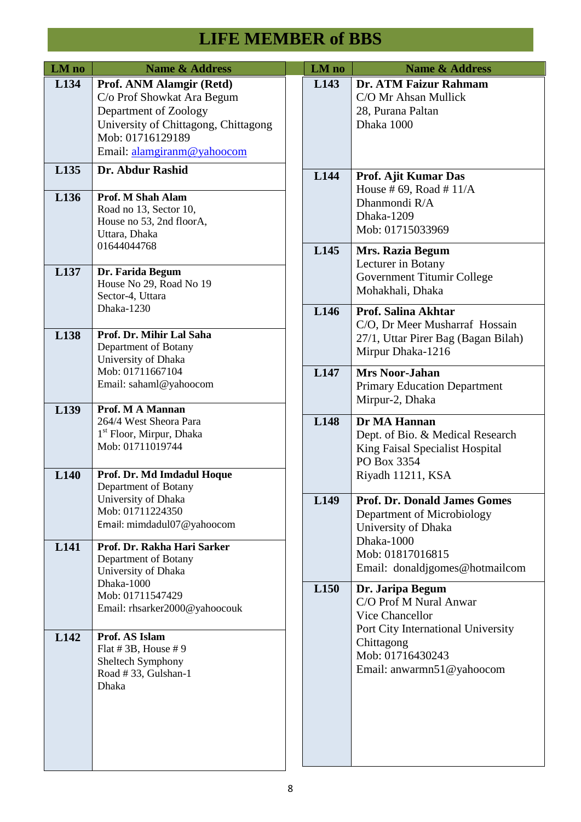| LM no            | <b>Name &amp; Address</b>                                                                                                                                                 | LM no            | <b>Name &amp; Address</b>                                                                                                |
|------------------|---------------------------------------------------------------------------------------------------------------------------------------------------------------------------|------------------|--------------------------------------------------------------------------------------------------------------------------|
| L134             | Prof. ANM Alamgir (Retd)<br>C/o Prof Showkat Ara Begum<br>Department of Zoology<br>University of Chittagong, Chittagong<br>Mob: 01716129189<br>Email: alamgiranm@yahoocom | L143             | Dr. ATM Faizur Rahmam<br>C/O Mr Ahsan Mullick<br>28, Purana Paltan<br>Dhaka 1000                                         |
| L135             | Dr. Abdur Rashid                                                                                                                                                          | L144             | Prof. Ajit Kumar Das                                                                                                     |
| L136             | Prof. M Shah Alam<br>Road no 13, Sector 10,<br>House no 53, 2nd floorA,<br>Uttara, Dhaka<br>01644044768                                                                   |                  | House #69, Road #11/A<br>Dhanmondi R/A<br>Dhaka-1209<br>Mob: 01715033969                                                 |
| L137             | Dr. Farida Begum<br>House No 29, Road No 19<br>Sector-4, Uttara                                                                                                           | L145             | <b>Mrs. Razia Begum</b><br>Lecturer in Botany<br>Government Titumir College<br>Mohakhali, Dhaka                          |
| L138             | Dhaka-1230<br>Prof. Dr. Mihir Lal Saha<br>Department of Botany<br>University of Dhaka                                                                                     | L146             | <b>Prof. Salina Akhtar</b><br>C/O, Dr Meer Musharraf Hossain<br>27/1, Uttar Pirer Bag (Bagan Bilah)<br>Mirpur Dhaka-1216 |
|                  | Mob: 01711667104<br>Email: sahaml@yahoocom                                                                                                                                | L147             | <b>Mrs Noor-Jahan</b><br><b>Primary Education Department</b><br>Mirpur-2, Dhaka                                          |
| L139             | Prof. M A Mannan<br>264/4 West Sheora Para<br>1 <sup>st</sup> Floor, Mirpur, Dhaka<br>Mob: 01711019744                                                                    | L148             | Dr MA Hannan<br>Dept. of Bio. & Medical Research<br>King Faisal Specialist Hospital<br>PO Box 3354                       |
| L140             | Prof. Dr. Md Imdadul Hoque<br>Department of Botany                                                                                                                        |                  | Riyadh 11211, KSA                                                                                                        |
| L <sub>141</sub> | University of Dhaka<br>Mob: 01711224350<br>Email: mimdadul07@yahoocom<br>Prof. Dr. Rakha Hari Sarker                                                                      | L149             | <b>Prof. Dr. Donald James Gomes</b><br>Department of Microbiology<br>University of Dhaka<br>Dhaka-1000                   |
|                  | Department of Botany<br>University of Dhaka                                                                                                                               |                  | Mob: 01817016815<br>Email: donaldjgomes@hotmailcom                                                                       |
|                  | Dhaka-1000<br>Mob: 01711547429<br>Email: rhsarker2000@yahoocouk                                                                                                           | L <sub>150</sub> | Dr. Jaripa Begum<br>C/O Prof M Nural Anwar<br>Vice Chancellor                                                            |
| L <sub>142</sub> | Prof. AS Islam<br>Flat #3B, House #9<br>Sheltech Symphony<br>Road #33, Gulshan-1<br><b>Dhaka</b>                                                                          |                  | Port City International University<br>Chittagong<br>Mob: 01716430243<br>Email: anwarmn51@yahoocom                        |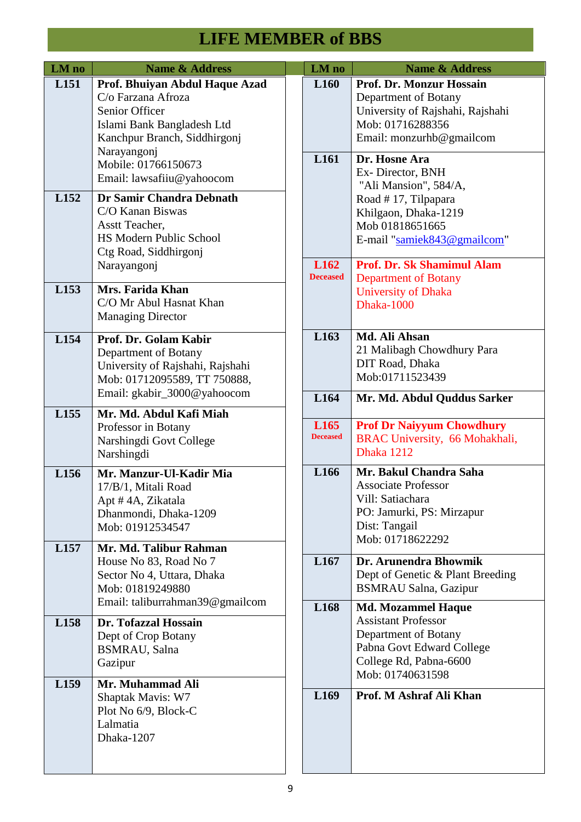| LM no            | <b>Name &amp; Address</b>                                                                                                                                                                               |  | LM no                                | <b>Name &amp; Address</b>                                                                                                                                                        |
|------------------|---------------------------------------------------------------------------------------------------------------------------------------------------------------------------------------------------------|--|--------------------------------------|----------------------------------------------------------------------------------------------------------------------------------------------------------------------------------|
| L <sub>151</sub> | Prof. Bhuiyan Abdul Haque Azad<br>C/o Farzana Afroza<br>Senior Officer<br>Islami Bank Bangladesh Ltd<br>Kanchpur Branch, Siddhirgonj<br>Narayangonj<br>Mobile: 01766150673<br>Email: lawsafiiu@yahoocom |  | L <sub>160</sub><br>L <sub>161</sub> | <b>Prof. Dr. Monzur Hossain</b><br>Department of Botany<br>University of Rajshahi, Rajshahi<br>Mob: 01716288356<br>Email: monzurhb@gmailcom<br>Dr. Hosne Ara<br>Ex-Director, BNH |
| L152             | Dr Samir Chandra Debnath<br>C/O Kanan Biswas<br>Asstt Teacher,<br>HS Modern Public School<br>Ctg Road, Siddhirgonj                                                                                      |  |                                      | "Ali Mansion", 584/A,<br>Road #17, Tilpapara<br>Khilgaon, Dhaka-1219<br>Mob 01818651665<br>E-mail "samiek843@gmailcom"                                                           |
| L153             | Narayangonj<br>Mrs. Farida Khan<br>C/O Mr Abul Hasnat Khan<br><b>Managing Director</b>                                                                                                                  |  | L <sub>162</sub><br><b>Deceased</b>  | <b>Prof. Dr. Sk Shamimul Alam</b><br><b>Department of Botany</b><br><b>University of Dhaka</b><br>Dhaka-1000                                                                     |
| L154             | Prof. Dr. Golam Kabir<br>Department of Botany<br>University of Rajshahi, Rajshahi<br>Mob: 01712095589, TT 750888,<br>Email: gkabir_3000@yahoocom                                                        |  | L163<br>L164                         | Md. Ali Ahsan<br>21 Malibagh Chowdhury Para<br>DIT Road, Dhaka<br>Mob:01711523439                                                                                                |
| L155             | Mr. Md. Abdul Kafi Miah<br>Professor in Botany<br>Narshingdi Govt College<br>Narshingdi                                                                                                                 |  | L165<br><b>Deceased</b>              | Mr. Md. Abdul Quddus Sarker<br><b>Prof Dr Naiyyum Chowdhury</b><br>BRAC University, 66 Mohakhali,<br>Dhaka 1212                                                                  |
| L156             | Mr. Manzur-Ul-Kadir Mia<br>17/B/1, Mitali Road<br>Apt #4A, Zikatala<br>Dhanmondi, Dhaka-1209<br>Mob: 01912534547                                                                                        |  | L166                                 | Mr. Bakul Chandra Saha<br><b>Associate Professor</b><br>Vill: Satiachara<br>PO: Jamurki, PS: Mirzapur<br>Dist: Tangail<br>Mob: 01718622292                                       |
| L157             | Mr. Md. Talibur Rahman<br>House No 83, Road No 7<br>Sector No 4, Uttara, Dhaka<br>Mob: 01819249880                                                                                                      |  | L167                                 | Dr. Arunendra Bhowmik<br>Dept of Genetic & Plant Breeding<br><b>BSMRAU Salna, Gazipur</b>                                                                                        |
| L158             | Email: taliburrahman39@gmailcom<br>Dr. Tofazzal Hossain<br>Dept of Crop Botany<br><b>BSMRAU</b> , Salna<br>Gazipur                                                                                      |  | L168                                 | <b>Md. Mozammel Haque</b><br><b>Assistant Professor</b><br>Department of Botany<br>Pabna Govt Edward College<br>College Rd, Pabna-6600<br>Mob: 01740631598                       |
| L159             | Mr. Muhammad Ali<br>Shaptak Mavis: W7<br>Plot No 6/9, Block-C<br>Lalmatia<br>Dhaka-1207                                                                                                                 |  | L169                                 | Prof. M Ashraf Ali Khan                                                                                                                                                          |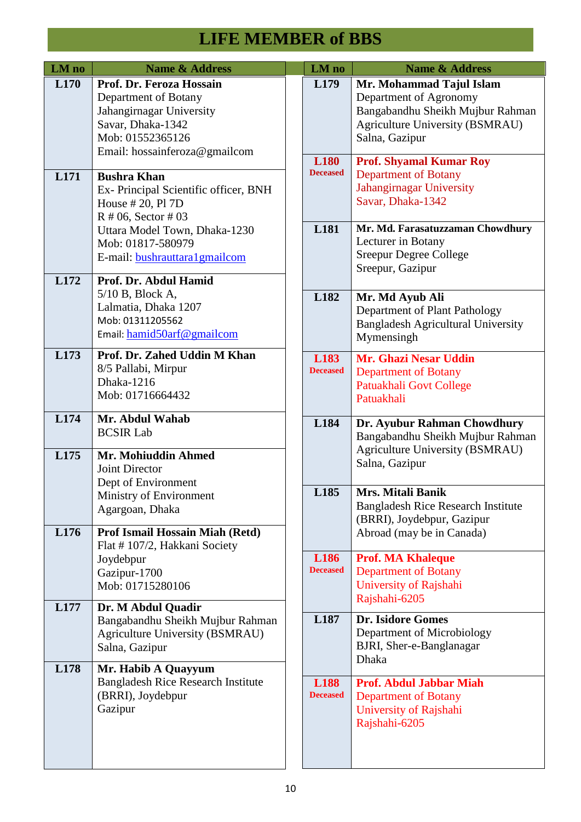| LM no        | Name & Address                                                                                                                                         | LM no                          | <b>Name &amp; Address</b>                                                                                                                   |
|--------------|--------------------------------------------------------------------------------------------------------------------------------------------------------|--------------------------------|---------------------------------------------------------------------------------------------------------------------------------------------|
| L170         | Prof. Dr. Feroza Hossain<br>Department of Botany<br>Jahangirnagar University<br>Savar, Dhaka-1342<br>Mob: 01552365126<br>Email: hossainferoza@gmailcom | L179                           | Mr. Mohammad Tajul Islam<br>Department of Agronomy<br>Bangabandhu Sheikh Mujbur Rahman<br>Agriculture University (BSMRAU)<br>Salna, Gazipur |
| L171         | <b>Bushra Khan</b><br>Ex-Principal Scientific officer, BNH<br>House # 20, Pl 7D<br>$R \# 06$ , Sector $\# 03$                                          | <b>L180</b><br><b>Deceased</b> | <b>Prof. Shyamal Kumar Roy</b><br><b>Department of Botany</b><br>Jahangirnagar University<br>Savar, Dhaka-1342                              |
|              | Uttara Model Town, Dhaka-1230<br>Mob: 01817-580979<br>E-mail: bushrauttara1gmailcom                                                                    | L181                           | Mr. Md. Farasatuzzaman Chowdhury<br>Lecturer in Botany<br><b>Sreepur Degree College</b><br>Sreepur, Gazipur                                 |
| L172         | Prof. Dr. Abdul Hamid<br>$5/10$ B, Block A,<br>Lalmatia, Dhaka 1207<br>Mob: 01311205562<br>Email: hamid50arf@gmailcom                                  | L182                           | Mr. Md Ayub Ali<br>Department of Plant Pathology<br><b>Bangladesh Agricultural University</b><br>Mymensingh                                 |
| L173         | Prof. Dr. Zahed Uddin M Khan<br>8/5 Pallabi, Mirpur<br>Dhaka-1216<br>Mob: 01716664432                                                                  | L183<br><b>Deceased</b>        | <b>Mr. Ghazi Nesar Uddin</b><br><b>Department of Botany</b><br>Patuakhali Govt College<br>Patuakhali                                        |
| L174<br>L175 | Mr. Abdul Wahab<br><b>BCSIR Lab</b><br>Mr. Mohiuddin Ahmed<br><b>Joint Director</b><br>Dept of Environment                                             | L184                           | Dr. Ayubur Rahman Chowdhury<br>Bangabandhu Sheikh Mujbur Rahman<br><b>Agriculture University (BSMRAU)</b><br>Salna, Gazipur                 |
| L176         | Ministry of Environment<br>Agargoan, Dhaka<br>Prof Ismail Hossain Miah (Retd)                                                                          | L185                           | Mrs. Mitali Banik<br><b>Bangladesh Rice Research Institute</b><br>(BRRI), Joydebpur, Gazipur<br>Abroad (may be in Canada)                   |
|              | Flat #107/2, Hakkani Society<br>Joydebpur<br>Gazipur-1700<br>Mob: 01715280106                                                                          | L186<br><b>Deceased</b>        | <b>Prof. MA Khaleque</b><br><b>Department of Botany</b><br>University of Rajshahi<br>Rajshahi-6205                                          |
| L177         | Dr. M Abdul Quadir<br>Bangabandhu Sheikh Mujbur Rahman<br><b>Agriculture University (BSMRAU)</b><br>Salna, Gazipur                                     | L187                           | <b>Dr. Isidore Gomes</b><br>Department of Microbiology<br>BJRI, Sher-e-Banglanagar<br><b>Dhaka</b>                                          |
| L178         | Mr. Habib A Quayyum<br><b>Bangladesh Rice Research Institute</b><br>(BRRI), Joydebpur<br>Gazipur                                                       | <b>L188</b><br><b>Deceased</b> | <b>Prof. Abdul Jabbar Miah</b><br><b>Department of Botany</b><br>University of Rajshahi<br>Rajshahi-6205                                    |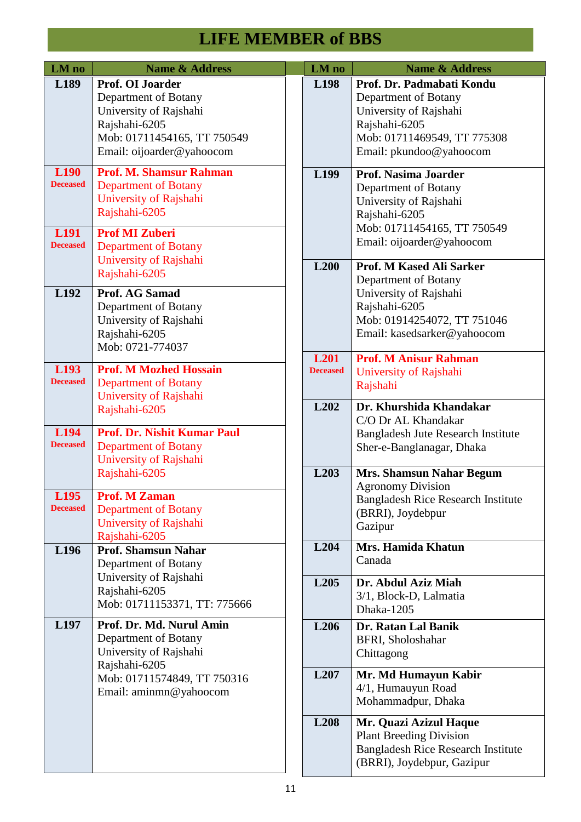| LM no                                                          | <b>Name &amp; Address</b>                                                                                                                                        | LM no                               | <b>Name &amp; Address</b>                                                                                                                                  |
|----------------------------------------------------------------|------------------------------------------------------------------------------------------------------------------------------------------------------------------|-------------------------------------|------------------------------------------------------------------------------------------------------------------------------------------------------------|
| L189                                                           | <b>Prof. OI Joarder</b><br>Department of Botany<br>University of Rajshahi<br>Rajshahi-6205<br>Mob: 01711454165, TT 750549<br>Email: oijoarder@yahoocom           | L198                                | Prof. Dr. Padmabati Kondu<br>Department of Botany<br>University of Rajshahi<br>Rajshahi-6205<br>Mob: 01711469549, TT 775308<br>Email: pkundoo@yahoocom     |
| L <sub>190</sub><br><b>Deceased</b><br>L191<br><b>Deceased</b> | <b>Prof. M. Shamsur Rahman</b><br><b>Department of Botany</b><br>University of Rajshahi<br>Rajshahi-6205<br><b>Prof MI Zuberi</b><br><b>Department of Botany</b> | L199                                | <b>Prof. Nasima Joarder</b><br>Department of Botany<br>University of Rajshahi<br>Rajshahi-6205<br>Mob: 01711454165, TT 750549<br>Email: oijoarder@yahoocom |
|                                                                | University of Rajshahi<br>Rajshahi-6205                                                                                                                          | L200                                | Prof. M Kased Ali Sarker<br>Department of Botany                                                                                                           |
| L <sub>192</sub>                                               | <b>Prof. AG Samad</b><br>Department of Botany<br>University of Rajshahi<br>Rajshahi-6205<br>Mob: 0721-774037                                                     |                                     | University of Rajshahi<br>Rajshahi-6205<br>Mob: 01914254072, TT 751046<br>Email: kasedsarker@yahoocom                                                      |
| L193<br><b>Deceased</b>                                        | <b>Prof. M Mozhed Hossain</b><br><b>Department of Botany</b><br>University of Rajshahi                                                                           | L <sub>201</sub><br><b>Deceased</b> | <b>Prof. M Anisur Rahman</b><br>University of Rajshahi<br>Rajshahi                                                                                         |
| L194<br><b>Deceased</b>                                        | Rajshahi-6205<br><b>Prof. Dr. Nishit Kumar Paul</b><br><b>Department of Botany</b><br>University of Rajshahi                                                     | L202                                | Dr. Khurshida Khandakar<br>C/O Dr AL Khandakar<br><b>Bangladesh Jute Research Institute</b><br>Sher-e-Banglanagar, Dhaka                                   |
| L195<br><b>Deceased</b>                                        | Rajshahi-6205<br><b>Prof. M Zaman</b><br><b>Department of Botany</b><br>University of Rajshahi                                                                   | L203                                | <b>Mrs. Shamsun Nahar Begum</b><br><b>Agronomy Division</b><br><b>Bangladesh Rice Research Institute</b><br>(BRRI), Joydebpur                              |
| L196                                                           | Rajshahi-6205<br><b>Prof. Shamsun Nahar</b><br>Department of Botany                                                                                              | L204                                | Gazipur<br>Mrs. Hamida Khatun<br>Canada                                                                                                                    |
|                                                                | University of Rajshahi<br>Rajshahi-6205<br>Mob: 01711153371, TT: 775666                                                                                          | L <sub>205</sub>                    | Dr. Abdul Aziz Miah<br>3/1, Block-D, Lalmatia<br>Dhaka-1205                                                                                                |
| L <sub>197</sub>                                               | Prof. Dr. Md. Nurul Amin<br>Department of Botany<br>University of Rajshahi<br>Rajshahi-6205                                                                      | L206                                | Dr. Ratan Lal Banik<br>BFRI, Sholoshahar<br>Chittagong                                                                                                     |
|                                                                | Mob: 01711574849, TT 750316<br>Email: aminmn@yahoocom                                                                                                            | L <sub>207</sub>                    | Mr. Md Humayun Kabir<br>4/1, Humauyun Road<br>Mohammadpur, Dhaka                                                                                           |
|                                                                |                                                                                                                                                                  | L208                                | Mr. Quazi Azizul Haque<br><b>Plant Breeding Division</b><br><b>Bangladesh Rice Research Institute</b><br>(BRRI), Joydebpur, Gazipur                        |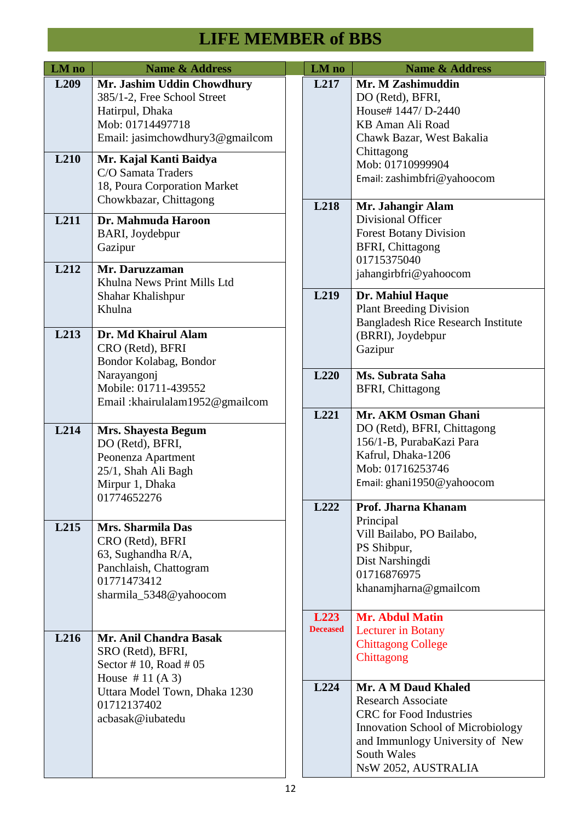| LM no            | <b>Name &amp; Address</b>                           | LM no           | <b>Name &amp; Address</b>                                                   |
|------------------|-----------------------------------------------------|-----------------|-----------------------------------------------------------------------------|
| L <sub>209</sub> | Mr. Jashim Uddin Chowdhury                          | L217            | Mr. M Zashimuddin                                                           |
|                  | 385/1-2, Free School Street                         |                 | DO (Retd), BFRI,                                                            |
|                  | Hatirpul, Dhaka                                     |                 | House# 1447/ D-2440                                                         |
|                  | Mob: 01714497718<br>Email: jasimchowdhury3@gmailcom |                 | KB Aman Ali Road<br>Chawk Bazar, West Bakalia                               |
|                  |                                                     |                 | Chittagong                                                                  |
| L <sub>210</sub> | Mr. Kajal Kanti Baidya                              |                 | Mob: 01710999904                                                            |
|                  | C/O Samata Traders                                  |                 | Email: zashimbfri@yahoocom                                                  |
|                  | 18, Poura Corporation Market                        |                 |                                                                             |
|                  | Chowkbazar, Chittagong                              | L218            | Mr. Jahangir Alam                                                           |
| L211             | Dr. Mahmuda Haroon                                  |                 | Divisional Officer                                                          |
|                  | BARI, Joydebpur                                     |                 | <b>Forest Botany Division</b>                                               |
|                  | Gazipur                                             |                 | <b>BFRI, Chittagong</b>                                                     |
| L212             | Mr. Daruzzaman                                      |                 | 01715375040                                                                 |
|                  | Khulna News Print Mills Ltd                         |                 | jahangirbfri@yahoocom                                                       |
|                  | Shahar Khalishpur                                   | L219            | Dr. Mahiul Haque                                                            |
|                  | Khulna                                              |                 | <b>Plant Breeding Division</b>                                              |
|                  | Dr. Md Khairul Alam                                 |                 | <b>Bangladesh Rice Research Institute</b>                                   |
| L213             | CRO (Retd), BFRI                                    |                 | (BRRI), Joydebpur                                                           |
|                  | Bondor Kolabag, Bondor                              |                 | Gazipur                                                                     |
|                  | Narayangonj                                         | L220            | Ms. Subrata Saha                                                            |
|                  | Mobile: 01711-439552                                |                 | <b>BFRI, Chittagong</b>                                                     |
|                  | Email: khairulalam1952@gmailcom                     |                 |                                                                             |
|                  |                                                     | L221            | Mr. AKM Osman Ghani                                                         |
| L214             | Mrs. Shayesta Begum                                 |                 | DO (Retd), BFRI, Chittagong                                                 |
|                  | DO (Retd), BFRI,                                    |                 | 156/1-B, PurabaKazi Para                                                    |
|                  | Peonenza Apartment                                  |                 | Kafrul, Dhaka-1206<br>Mob: 01716253746                                      |
|                  | 25/1, Shah Ali Bagh<br>Mirpur 1, Dhaka              |                 | Email: ghani1950@yahoocom                                                   |
|                  | 01774652276                                         |                 |                                                                             |
|                  |                                                     | L222            | Prof. Jharna Khanam                                                         |
| L <sub>215</sub> | Mrs. Sharmila Das                                   |                 | Principal                                                                   |
|                  | CRO (Retd), BFRI                                    |                 | Vill Bailabo, PO Bailabo,                                                   |
|                  | 63, Sughandha R/A,                                  |                 | PS Shibpur,                                                                 |
|                  | Panchlaish, Chattogram                              |                 | Dist Narshingdi<br>01716876975                                              |
|                  | 01771473412                                         |                 | khanamjharna@gmailcom                                                       |
|                  | sharmila_5348@yahoocom                              |                 |                                                                             |
|                  |                                                     | L223            | <b>Mr. Abdul Matin</b>                                                      |
|                  |                                                     | <b>Deceased</b> | <b>Lecturer</b> in Botany                                                   |
| L216             | Mr. Anil Chandra Basak<br>SRO (Retd), BFRI,         |                 | <b>Chittagong College</b>                                                   |
|                  | Sector #10, Road #05                                |                 | Chittagong                                                                  |
|                  | House $# 11 (A 3)$                                  |                 |                                                                             |
|                  | Uttara Model Town, Dhaka 1230                       | L224            | Mr. A M Daud Khaled                                                         |
|                  | 01712137402                                         |                 | <b>Research Associate</b>                                                   |
|                  | acbasak@iubatedu                                    |                 | <b>CRC</b> for Food Industries                                              |
|                  |                                                     |                 | <b>Innovation School of Microbiology</b><br>and Immunlogy University of New |
|                  |                                                     |                 | South Wales                                                                 |
|                  |                                                     |                 | NsW 2052, AUSTRALIA                                                         |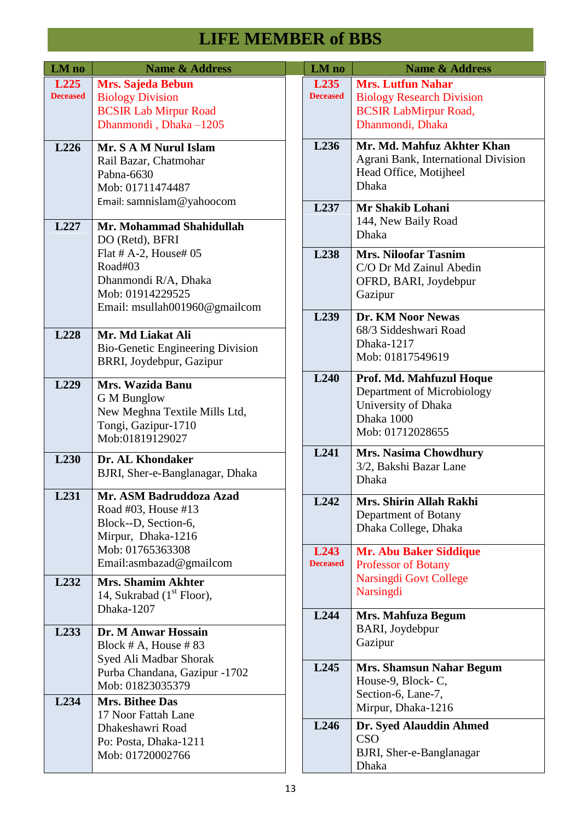| LM no                   | <b>Name &amp; Address</b>                                                                                                  | LM no                               | <b>Name &amp; Address</b>                                                                                              |
|-------------------------|----------------------------------------------------------------------------------------------------------------------------|-------------------------------------|------------------------------------------------------------------------------------------------------------------------|
| L225<br><b>Deceased</b> | <b>Mrs. Sajeda Bebun</b><br><b>Biology Division</b><br><b>BCSIR Lab Mirpur Road</b><br>Dhanmondi, Dhaka-1205               | L <sub>235</sub><br><b>Deceased</b> | <b>Mrs. Lutfun Nahar</b><br><b>Biology Research Division</b><br><b>BCSIR LabMirpur Road,</b><br>Dhanmondi, Dhaka       |
| L226                    | Mr. S A M Nurul Islam<br>Rail Bazar, Chatmohar<br>Pabna-6630<br>Mob: 01711474487                                           | L236                                | Mr. Md. Mahfuz Akhter K<br>Agrani Bank, International D<br>Head Office, Motijheel<br><b>Dhaka</b>                      |
| L227                    | Email: samnislam@yahoocom<br>Mr. Mohammad Shahidullah<br>DO (Retd), BFRI                                                   | L <sub>237</sub>                    | Mr Shakib Lohani<br>144, New Baily Road<br>Dhaka                                                                       |
|                         | Flat # A-2, House# 05<br>Road#03<br>Dhanmondi R/A, Dhaka<br>Mob: 01914229525<br>Email: msullah001960@gmailcom              | L <sub>238</sub>                    | <b>Mrs. Niloofar Tasnim</b><br>C/O Dr Md Zainul Abedin<br>OFRD, BARI, Joydebpur<br>Gazipur                             |
| L228                    | Mr. Md Liakat Ali<br><b>Bio-Genetic Engineering Division</b><br>BRRI, Joydebpur, Gazipur                                   | L239                                | Dr. KM Noor Newas<br>68/3 Siddeshwari Road<br>Dhaka-1217<br>Mob: 01817549619                                           |
| L229                    | Mrs. Wazida Banu<br><b>G</b> M Bunglow<br>New Meghna Textile Mills Ltd,<br>Tongi, Gazipur-1710<br>Mob:01819129027          | L240                                | Prof. Md. Mahfuzul Hoque<br>Department of Microbiology<br>University of Dhaka<br>Dhaka 1000<br>Mob: 01712028655        |
| L <sub>230</sub>        | Dr. AL Khondaker<br>BJRI, Sher-e-Banglanagar, Dhaka                                                                        | L241                                | <b>Mrs. Nasima Chowdhury</b><br>3/2, Bakshi Bazar Lane<br><b>Dhaka</b>                                                 |
| L231                    | Mr. ASM Badruddoza Azad<br>Road #03, House #13<br>Block--D, Section-6,<br>Mirpur, Dhaka-1216                               | L242                                | Mrs. Shirin Allah Rakhi<br>Department of Botany<br>Dhaka College, Dhaka                                                |
| L232                    | Mob: 01765363308<br>Email:asmbazad@gmailcom<br><b>Mrs. Shamim Akhter</b><br>14, Sukrabad (1 <sup>st</sup> Floor),          | L <sub>243</sub><br><b>Deceased</b> | <b>Mr. Abu Baker Siddique</b><br><b>Professor of Botany</b><br><b>Narsingdi Govt College</b><br>Narsingdi              |
|                         | Dhaka-1207                                                                                                                 | L244                                | Mrs. Mahfuza Begum                                                                                                     |
| L233                    | Dr. M Anwar Hossain<br>Block # A, House #83<br>Syed Ali Madbar Shorak<br>Purba Chandana, Gazipur -1702<br>Mob: 01823035379 | L245                                | BARI, Joydebpur<br>Gazipur<br><b>Mrs. Shamsun Nahar Begu</b><br>House-9, Block-C,                                      |
| L234                    | Mrs. Bithee Das<br>17 Noor Fattah Lane<br>Dhakeshawri Road<br>Po: Posta, Dhaka-1211<br>Mob: 01720002766                    | L246                                | Section-6, Lane-7,<br>Mirpur, Dhaka-1216<br>Dr. Syed Alauddin Ahmed<br><b>CSO</b><br>BJRI, Sher-e-Banglanagar<br>Dhaka |

| LM no                               | <b>Name &amp; Address</b>                                                                                        |
|-------------------------------------|------------------------------------------------------------------------------------------------------------------|
| L <sub>235</sub><br><b>Deceased</b> | <b>Mrs. Lutfun Nahar</b><br><b>Biology Research Division</b><br><b>BCSIR LabMirpur Road,</b><br>Dhanmondi, Dhaka |
| L <sub>236</sub>                    | Mr. Md. Mahfuz Akhter Khan<br>Agrani Bank, International Division<br>Head Office, Motijheel<br><b>Dhaka</b>      |
| L <sub>237</sub>                    | Mr Shakib Lohani<br>144, New Baily Road<br>Dhaka                                                                 |
| L <sub>238</sub>                    | <b>Mrs. Niloofar Tasnim</b><br>C/O Dr Md Zainul Abedin<br>OFRD, BARI, Joydebpur<br>Gazipur                       |
| L <sub>239</sub>                    | Dr. KM Noor Newas<br>68/3 Siddeshwari Road<br>Dhaka-1217<br>Mob: 01817549619                                     |
| <b>L240</b>                         | Prof. Md. Mahfuzul Hoque<br>Department of Microbiology<br>University of Dhaka<br>Dhaka 1000<br>Mob: 01712028655  |
| L.241                               | Mrs. Nasima Chowdhury<br>3/2, Bakshi Bazar Lane<br><b>Dhaka</b>                                                  |
| L <sub>242</sub>                    | Mrs. Shirin Allah Rakhi<br>Department of Botany<br>Dhaka College, Dhaka                                          |
| L243<br><b>Deceased</b>             | <b>Mr. Abu Baker Siddique</b><br><b>Professor of Botany</b><br><b>Narsingdi Govt College</b><br><b>Narsingdi</b> |
| L244                                | Mrs. Mahfuza Begum<br>BARI, Joydebpur<br>Gazipur                                                                 |
| L <sub>245</sub>                    | <b>Mrs. Shamsun Nahar Begum</b><br>House-9, Block-C,<br>Section-6, Lane-7,<br>Mirpur, Dhaka-1216                 |
| L246                                | Dr. Syed Alauddin Ahmed<br>CSO<br>BJRI, Sher-e-Banglanagar<br>Dhaka                                              |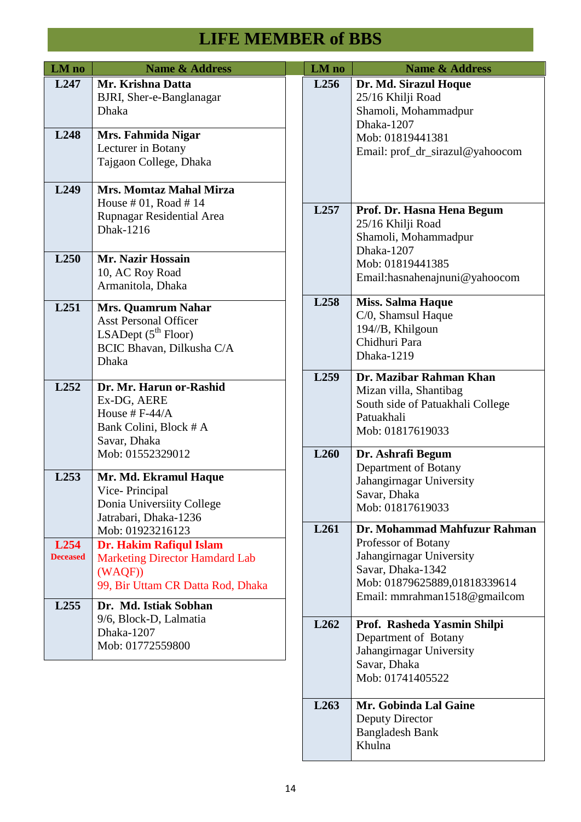| LM no                                | <b>Name &amp; Address</b>                                                                                                                  | LM no            | <b>Name &amp; Address</b>                                                                                                                                            |
|--------------------------------------|--------------------------------------------------------------------------------------------------------------------------------------------|------------------|----------------------------------------------------------------------------------------------------------------------------------------------------------------------|
| L <sub>247</sub><br>L <sub>248</sub> | Mr. Krishna Datta<br>BJRI, Sher-e-Banglanagar<br><b>Dhaka</b><br>Mrs. Fahmida Nigar                                                        | L256             | Dr. Md. Sirazul Hoque<br>25/16 Khilji Road<br>Shamoli, Mohammadpur<br>Dhaka-1207                                                                                     |
|                                      | Lecturer in Botany<br>Tajgaon College, Dhaka                                                                                               |                  | Mob: 01819441381<br>Email: prof_dr_sirazul@yahoocom                                                                                                                  |
| L249                                 | Mrs. Momtaz Mahal Mirza<br>House $#01$ , Road $#14$                                                                                        |                  |                                                                                                                                                                      |
|                                      | Rupnagar Residential Area<br>Dhak-1216                                                                                                     | L257             | Prof. Dr. Hasna Hena Begum<br>25/16 Khilji Road<br>Shamoli, Mohammadpur<br>Dhaka-1207                                                                                |
| L <sub>250</sub>                     | <b>Mr. Nazir Hossain</b><br>10, AC Roy Road<br>Armanitola, Dhaka                                                                           |                  | Mob: 01819441385<br>Email: has na henajnuni@yahoocom                                                                                                                 |
| L251                                 | <b>Mrs. Quamrum Nahar</b><br><b>Asst Personal Officer</b><br>LSADept $(5^{\text{th}}$ Floor)<br>BCIC Bhavan, Dilkusha C/A<br>Dhaka         | L258             | <b>Miss. Salma Haque</b><br>C/0, Shamsul Haque<br>194//B, Khilgoun<br>Chidhuri Para<br>Dhaka-1219                                                                    |
| L <sub>252</sub>                     | Dr. Mr. Harun or-Rashid<br>Ex-DG, AERE<br>House # $F-44/A$<br>Bank Colini, Block # A<br>Savar, Dhaka                                       | L259             | Dr. Mazibar Rahman Khan<br>Mizan villa, Shantibag<br>South side of Patuakhali College<br>Patuakhali<br>Mob: 01817619033                                              |
| L <sub>253</sub>                     | Mob: 01552329012<br>Mr. Md. Ekramul Haque<br>Vice-Principal<br>Donia Universiity College<br>Jatrabari, Dhaka-1236                          | L <sub>260</sub> | Dr. Ashrafi Begum<br>Department of Botany<br>Jahangirnagar University<br>Savar, Dhaka<br>Mob: 01817619033                                                            |
| L <sub>254</sub><br><b>Deceased</b>  | Mob: 01923216123<br><b>Dr. Hakim Rafiqul Islam</b><br><b>Marketing Director Hamdard Lab</b><br>(WAQF)<br>99, Bir Uttam CR Datta Rod, Dhaka | L261             | Dr. Mohammad Mahfuzur Rahman<br>Professor of Botany<br>Jahangirnagar University<br>Savar, Dhaka-1342<br>Mob: 01879625889,01818339614<br>Email: mmrahman1518@gmailcom |
| L <sub>255</sub>                     | Dr. Md. Istiak Sobhan<br>9/6, Block-D, Lalmatia<br>Dhaka-1207<br>Mob: 01772559800                                                          | L <sub>262</sub> | Prof. Rasheda Yasmin Shilpi<br>Department of Botany<br>Jahangirnagar University<br>Savar, Dhaka<br>Mob: 01741405522                                                  |
|                                      |                                                                                                                                            | L <sub>263</sub> | Mr. Gobinda Lal Gaine<br>Deputy Director                                                                                                                             |

Bangladesh Bank

Khulna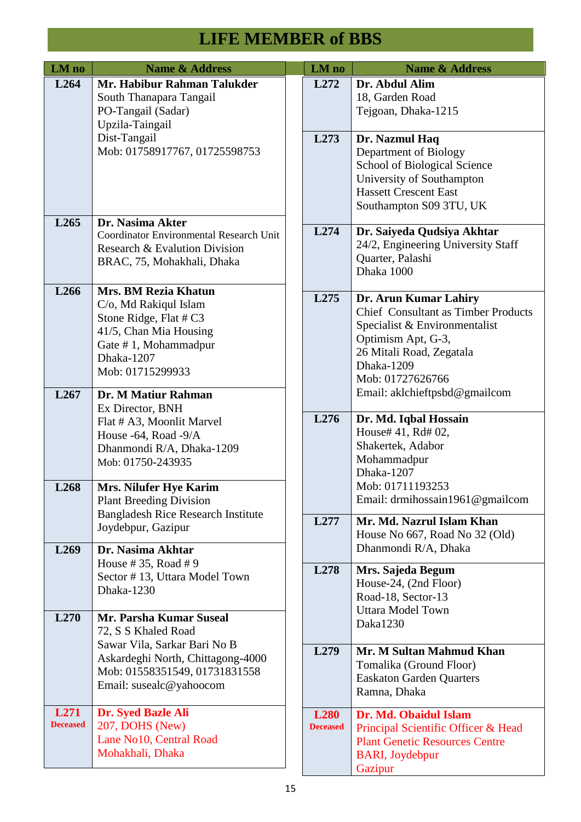| LM no                    | <b>Name &amp; Address</b>                                                                                                                                                                 | LM no                          | <b>Name &amp; Address</b>                                                                                                                                                                                                 |
|--------------------------|-------------------------------------------------------------------------------------------------------------------------------------------------------------------------------------------|--------------------------------|---------------------------------------------------------------------------------------------------------------------------------------------------------------------------------------------------------------------------|
| L <sub>264</sub>         | Mr. Habibur Rahman Talukder<br>South Thanapara Tangail<br>PO-Tangail (Sadar)<br>Upzila-Taingail                                                                                           | L272                           | Dr. Abdul Alim<br>18, Garden Road<br>Tejgoan, Dhaka-1215                                                                                                                                                                  |
|                          | Dist-Tangail<br>Mob: 01758917767, 01725598753                                                                                                                                             | L273                           | Dr. Nazmul Haq<br>Department of Biology<br>School of Biological Science<br>University of Southampton<br><b>Hassett Crescent East</b><br>Southampton S09 3TU, UK                                                           |
| L <sub>265</sub>         | Dr. Nasima Akter<br>Coordinator Environmental Research Unit<br>Research & Evalution Division<br>BRAC, 75, Mohakhali, Dhaka                                                                | L274                           | Dr. Saiyeda Qudsiya Akhtar<br>24/2, Engineering University Staff<br>Quarter, Palashi<br>Dhaka 1000                                                                                                                        |
| L266<br>L <sub>267</sub> | <b>Mrs. BM Rezia Khatun</b><br>C/o, Md Rakiqul Islam<br>Stone Ridge, Flat # C3<br>41/5, Chan Mia Housing<br>Gate #1, Mohammadpur<br>Dhaka-1207<br>Mob: 01715299933<br>Dr. M Matiur Rahman | L275                           | Dr. Arun Kumar Lahiry<br><b>Chief Consultant as Timber Products</b><br>Specialist & Environmentalist<br>Optimism Apt, G-3,<br>26 Mitali Road, Zegatala<br>Dhaka-1209<br>Mob: 01727626766<br>Email: aklchieftpsbd@gmailcom |
|                          | Ex Director, BNH<br>Flat # A3, Moonlit Marvel<br>House -64, Road -9/A<br>Dhanmondi R/A, Dhaka-1209<br>Mob: 01750-243935                                                                   | L276                           | Dr. Md. Iqbal Hossain<br>House# 41, Rd# 02,<br>Shakertek, Adabor<br>Mohammadpur<br>Dhaka-1207                                                                                                                             |
| L268                     | <b>Mrs. Nilufer Hye Karim</b><br><b>Plant Breeding Division</b><br><b>Bangladesh Rice Research Institute</b><br>Joydebpur, Gazipur                                                        | L277                           | Mob: 01711193253<br>Email: drmihossain1961@gmailcom<br>Mr. Md. Nazrul Islam Khan<br>House No 667, Road No 32 (Old)                                                                                                        |
| L <sub>269</sub>         | Dr. Nasima Akhtar<br>House # 35, Road # 9                                                                                                                                                 |                                | Dhanmondi R/A, Dhaka                                                                                                                                                                                                      |
| L270                     | Sector #13, Uttara Model Town<br>Dhaka-1230<br>Mr. Parsha Kumar Suseal                                                                                                                    | L278                           | Mrs. Sajeda Begum<br>House-24, (2nd Floor)<br>Road-18, Sector-13<br><b>Uttara Model Town</b>                                                                                                                              |
|                          | 72, S S Khaled Road                                                                                                                                                                       |                                | Daka1230                                                                                                                                                                                                                  |
|                          | Sawar Vila, Sarkar Bari No B<br>Askardeghi North, Chittagong-4000<br>Mob: 01558351549, 01731831558<br>Email: susealc@yahoocom                                                             | L279                           | Mr. M Sultan Mahmud Khan<br>Tomalika (Ground Floor)<br><b>Easkaton Garden Quarters</b><br>Ramna, Dhaka                                                                                                                    |
| L271<br><b>Deceased</b>  | Dr. Syed Bazle Ali<br>207, DOHS (New)<br>Lane No10, Central Road<br>Mohakhali, Dhaka                                                                                                      | <b>L280</b><br><b>Deceased</b> | Dr. Md. Obaidul Islam<br>Principal Scientific Officer & Head<br><b>Plant Genetic Resources Centre</b><br><b>BARI</b> , Joydebpur<br>Gazipur                                                                               |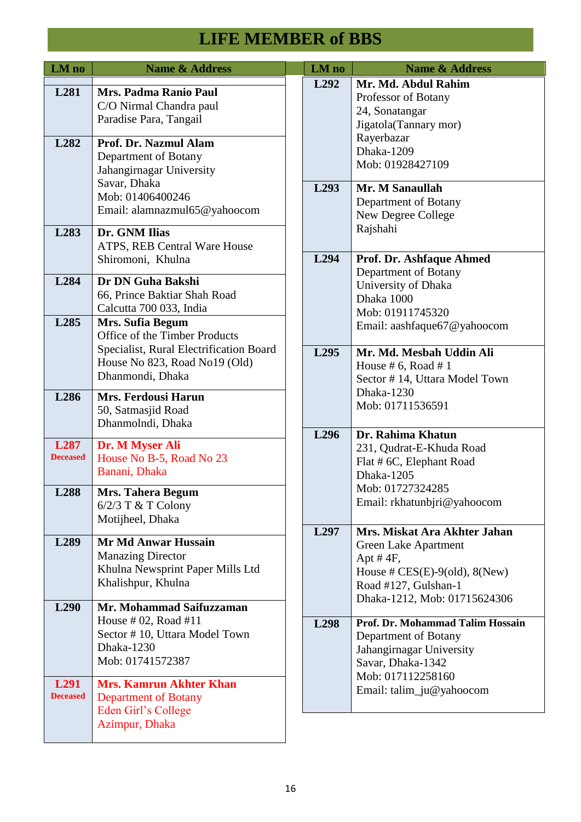| LM no                               | <b>Name &amp; Address</b>                                                                                               |  | LM no            | <b>Name &amp; Address</b>                                                                                                                                                                                                                                                                                                                                                                                                                                                                                                                                                      |
|-------------------------------------|-------------------------------------------------------------------------------------------------------------------------|--|------------------|--------------------------------------------------------------------------------------------------------------------------------------------------------------------------------------------------------------------------------------------------------------------------------------------------------------------------------------------------------------------------------------------------------------------------------------------------------------------------------------------------------------------------------------------------------------------------------|
| L281                                | Mrs. Padma Ranio Paul<br>C/O Nirmal Chandra paul<br>Paradise Para, Tangail                                              |  | L <sub>292</sub> | Mr. Md. Abdul Rahim<br>Professor of Botany<br>24, Sonatangar<br>Jigatola(Tannary mor)                                                                                                                                                                                                                                                                                                                                                                                                                                                                                          |
| L282                                | Prof. Dr. Nazmul Alam<br>Department of Botany<br>Jahangirnagar University<br>Savar, Dhaka                               |  |                  | Rayerbazar<br>Dhaka-1209<br>Mob: 01928427109                                                                                                                                                                                                                                                                                                                                                                                                                                                                                                                                   |
|                                     | Mob: 01406400246<br>Email: alamnazmul65@yahoocom                                                                        |  | L <sub>293</sub> | Mr. M Sanaullah<br>Department of Botany<br>New Degree College                                                                                                                                                                                                                                                                                                                                                                                                                                                                                                                  |
| L283                                | Dr. GNM Ilias<br>ATPS, REB Central Ware House<br>Shiromoni, Khulna                                                      |  | L <sub>294</sub> | Rajshahi<br>Prof. Dr. Ashfaque Ahmed                                                                                                                                                                                                                                                                                                                                                                                                                                                                                                                                           |
| L284                                | Dr DN Guha Bakshi<br>66, Prince Baktiar Shah Road<br>Calcutta 700 033, India                                            |  |                  | Department of Botany<br>University of Dhaka<br>Dhaka 1000<br>Mob: 01911745320                                                                                                                                                                                                                                                                                                                                                                                                                                                                                                  |
| L <sub>285</sub>                    | <b>Mrs. Sufia Begum</b><br>Office of the Timber Products<br>Specialist, Rural Electrification Board                     |  | L <sub>295</sub> | Email: aashfaque67@yahoocom<br>Mr. Md. Mesbah Uddin Ali                                                                                                                                                                                                                                                                                                                                                                                                                                                                                                                        |
|                                     | House No 823, Road No19 (Old)<br>Dhanmondi, Dhaka                                                                       |  | L <sub>296</sub> | House # 6, Road # 1<br>Sector #14, Uttara Model Town<br>Dhaka-1230<br>Mob: 01711536591<br>Dr. Rahima Khatun<br>231, Qudrat-E-Khuda Road<br>Flat # 6C, Elephant Road<br>Dhaka-1205<br>Mob: 01727324285<br>Email: rkhatunbjri@yahoocom<br>Mrs. Miskat Ara Akhter Jahan<br><b>Green Lake Apartment</b><br>Apt $#4F$ ,<br>House # $CES(E)-9(old)$ , $8(New)$<br>Road #127, Gulshan-1<br>Dhaka-1212, Mob: 01715624306<br>Prof. Dr. Mohammad Talim Hossain<br>Department of Botany<br>Jahangirnagar University<br>Savar, Dhaka-1342<br>Mob: 017112258160<br>Email: talim_ju@yahoocom |
| L286                                | <b>Mrs. Ferdousi Harun</b><br>50, Satmasjid Road<br>Dhanmolndi, Dhaka                                                   |  |                  |                                                                                                                                                                                                                                                                                                                                                                                                                                                                                                                                                                                |
| L <sub>287</sub><br><b>Deceased</b> | Dr. M Myser Ali<br>House No B-5, Road No 23<br>Banani, Dhaka                                                            |  |                  |                                                                                                                                                                                                                                                                                                                                                                                                                                                                                                                                                                                |
| L288                                | <b>Mrs. Tahera Begum</b><br>$6/2/3$ T & T Colony<br>Motijheel, Dhaka                                                    |  |                  |                                                                                                                                                                                                                                                                                                                                                                                                                                                                                                                                                                                |
| L <sub>289</sub>                    | <b>Mr Md Anwar Hussain</b><br><b>Manazing Director</b><br>Khulna Newsprint Paper Mills Ltd<br>Khalishpur, Khulna        |  | L <sub>297</sub> |                                                                                                                                                                                                                                                                                                                                                                                                                                                                                                                                                                                |
| L <sub>290</sub>                    | Mr. Mohammad Saifuzzaman<br>House $#02$ , Road $#11$<br>Sector #10, Uttara Model Town<br>Dhaka-1230<br>Mob: 01741572387 |  | L <sub>298</sub> |                                                                                                                                                                                                                                                                                                                                                                                                                                                                                                                                                                                |
| L <sub>291</sub><br><b>Deceased</b> | <b>Mrs. Kamrun Akhter Khan</b><br><b>Department of Botany</b><br>Eden Girl's College<br>Azimpur, Dhaka                  |  |                  |                                                                                                                                                                                                                                                                                                                                                                                                                                                                                                                                                                                |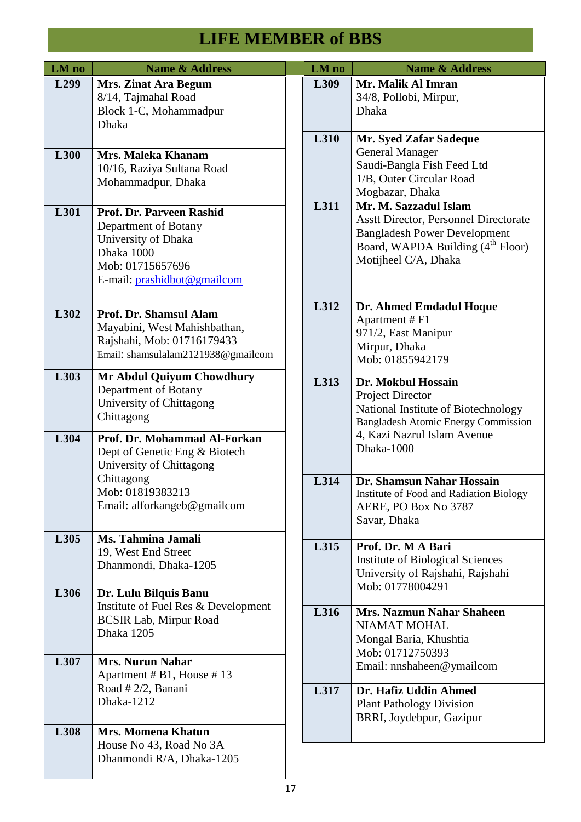| LM no            | <b>Name &amp; Address</b>                                                                                                                |  | LM no | <b>Name &amp; Address</b>                                                                                                                                                             |
|------------------|------------------------------------------------------------------------------------------------------------------------------------------|--|-------|---------------------------------------------------------------------------------------------------------------------------------------------------------------------------------------|
| L <sub>299</sub> | <b>Mrs. Zinat Ara Begum</b><br>8/14, Tajmahal Road<br>Block 1-C, Mohammadpur<br><b>Dhaka</b>                                             |  | L309  | Mr. Malik Al Imran<br>34/8, Pollobi, Mirpur,<br>Dhaka                                                                                                                                 |
| L300             | Mrs. Maleka Khanam<br>10/16, Raziya Sultana Road                                                                                         |  | L310  | Mr. Syed Zafar Sadeque<br><b>General Manager</b><br>Saudi-Bangla Fish Feed Ltd<br>1/B, Outer Circular Road                                                                            |
|                  | Mohammadpur, Dhaka                                                                                                                       |  |       | Mogbazar, Dhaka                                                                                                                                                                       |
| L301             | Prof. Dr. Parveen Rashid<br>Department of Botany<br>University of Dhaka<br>Dhaka 1000<br>Mob: 01715657696<br>E-mail: prashidbot@gmailcom |  | L311  | Mr. M. Sazzadul Islam<br><b>Asstt Director, Personnel Directorate</b><br><b>Bangladesh Power Development</b><br>Board, WAPDA Building (4 <sup>th</sup> Floor)<br>Motijheel C/A, Dhaka |
| L302             | Prof. Dr. Shamsul Alam<br>Mayabini, West Mahishbathan,<br>Rajshahi, Mob: 01716179433<br>Email: shamsulalam2121938@gmailcom               |  | L312  | Dr. Ahmed Emdadul Hoque<br>Apartment # F1<br>971/2, East Manipur<br>Mirpur, Dhaka<br>Mob: 01855942179                                                                                 |
| L303             | Mr Abdul Quiyum Chowdhury<br>Department of Botany<br>University of Chittagong<br>Chittagong                                              |  | L313  | Dr. Mokbul Hossain<br>Project Director<br>National Institute of Biotechnology<br><b>Bangladesh Atomic Energy Commission</b>                                                           |
| L304             | Prof. Dr. Mohammad Al-Forkan<br>Dept of Genetic Eng & Biotech<br>University of Chittagong                                                |  |       | 4, Kazi Nazrul Islam Avenue<br>Dhaka-1000                                                                                                                                             |
|                  | Chittagong<br>Mob: 01819383213<br>Email: alforkangeb@gmailcom                                                                            |  | L314  | Dr. Shamsun Nahar Hossain<br>Institute of Food and Radiation Biology<br>AERE, PO Box No 3787<br>Savar, Dhaka                                                                          |
| L305             | Ms. Tahmina Jamali<br>19, West End Street<br>Dhanmondi, Dhaka-1205                                                                       |  | L315  | Prof. Dr. M A Bari<br><b>Institute of Biological Sciences</b><br>University of Rajshahi, Rajshahi<br>Mob: 01778004291                                                                 |
| L306             | Dr. Lulu Bilquis Banu<br>Institute of Fuel Res & Development<br><b>BCSIR Lab, Mirpur Road</b><br>Dhaka 1205                              |  | L316  | <b>Mrs. Nazmun Nahar Shaheen</b><br><b>NIAMAT MOHAL</b>                                                                                                                               |
| L307             | <b>Mrs. Nurun Nahar</b><br>Apartment # B1, House # 13                                                                                    |  |       | Mongal Baria, Khushtia<br>Mob: 01712750393<br>Email: nnshaheen@ymailcom                                                                                                               |
|                  | Road # $2/2$ , Banani<br>Dhaka-1212                                                                                                      |  | L317  | Dr. Hafiz Uddin Ahmed<br><b>Plant Pathology Division</b><br>BRRI, Joydebpur, Gazipur                                                                                                  |
| L308             | <b>Mrs. Momena Khatun</b><br>House No 43, Road No 3A<br>Dhanmondi R/A, Dhaka-1205                                                        |  |       |                                                                                                                                                                                       |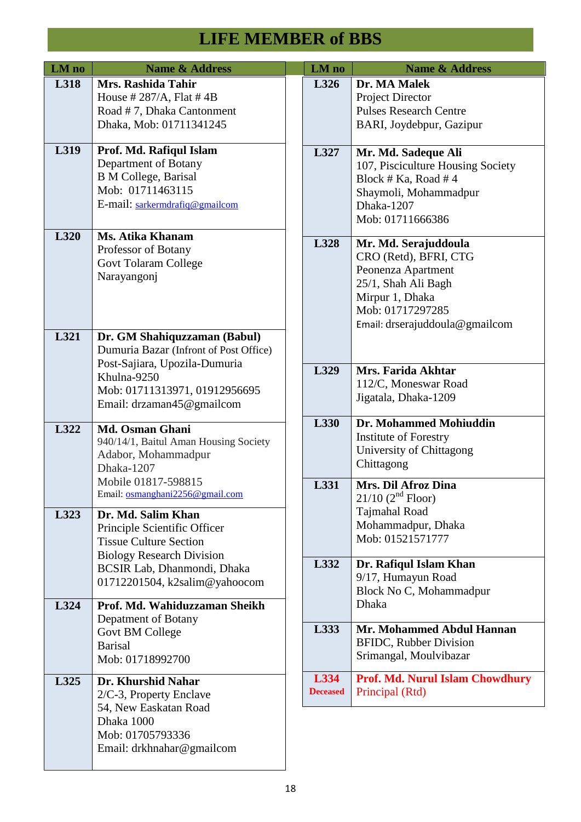| LM no | <b>Name &amp; Address</b>                                                                                                                                                            | LM no                   | <b>Name &amp; Address</b>                                                                                                                                           |
|-------|--------------------------------------------------------------------------------------------------------------------------------------------------------------------------------------|-------------------------|---------------------------------------------------------------------------------------------------------------------------------------------------------------------|
| L318  | Mrs. Rashida Tahir<br>House # $287/A$ , Flat # 4B<br>Road #7, Dhaka Cantonment<br>Dhaka, Mob: 01711341245                                                                            | L326                    | Dr. MA Malek<br>Project Director<br><b>Pulses Research Centre</b><br>BARI, Joydebpur, Gazipur                                                                       |
| L319  | Prof. Md. Rafiqul Islam<br>Department of Botany<br><b>B</b> M College, Barisal<br>Mob: 01711463115<br>E-mail: sarkermdrafiq@gmailcom                                                 | L327                    | Mr. Md. Sadeque Ali<br>107, Pisciculture Housing Society<br>Block # Ka, Road # 4<br>Shaymoli, Mohammadpur<br>Dhaka-1207<br>Mob: 01711666386                         |
| L320  | Ms. Atika Khanam<br>Professor of Botany<br><b>Govt Tolaram College</b><br>Narayangonj                                                                                                | L328                    | Mr. Md. Serajuddoula<br>CRO (Retd), BFRI, CTG<br>Peonenza Apartment<br>25/1, Shah Ali Bagh<br>Mirpur 1, Dhaka<br>Mob: 01717297285<br>Email: drserajuddoula@gmailcom |
| L321  | Dr. GM Shahiquzzaman (Babul)<br>Dumuria Bazar (Infront of Post Office)<br>Post-Sajiara, Upozila-Dumuria<br>Khulna-9250<br>Mob: 01711313971, 01912956695<br>Email: drzaman45@gmailcom | L329                    | Mrs. Farida Akhtar<br>112/C, Moneswar Road<br>Jigatala, Dhaka-1209                                                                                                  |
| L322  | Md. Osman Ghani<br>940/14/1, Baitul Aman Housing Society<br>Adabor, Mohammadpur<br>Dhaka-1207                                                                                        | L330                    | Dr. Mohammed Mohiuddin<br><b>Institute of Forestry</b><br>University of Chittagong<br>Chittagong                                                                    |
| L323  | Mobile 01817-598815<br>Email: osmanghani2256@gmail.com<br>Dr. Md. Salim Khan<br>Principle Scientific Officer<br><b>Tissue Culture Section</b>                                        | L331                    | <b>Mrs. Dil Afroz Dina</b><br>$21/10$ (2 <sup>nd</sup> Floor)<br>Tajmahal Road<br>Mohammadpur, Dhaka<br>Mob: 01521571777                                            |
| L324  | <b>Biology Research Division</b><br>BCSIR Lab, Dhanmondi, Dhaka<br>01712201504, k2salim@yahoocom<br>Prof. Md. Wahiduzzaman Sheikh                                                    | L332                    | Dr. Rafiqul Islam Khan<br>9/17, Humayun Road<br>Block No C, Mohammadpur<br>Dhaka                                                                                    |
|       | Depatment of Botany<br>Govt BM College<br><b>Barisal</b><br>Mob: 01718992700                                                                                                         | L333                    | Mr. Mohammed Abdul Hannan<br><b>BFIDC, Rubber Division</b><br>Srimangal, Moulvibazar                                                                                |
| L325  | Dr. Khurshid Nahar<br>2/C-3, Property Enclave<br>54, New Easkatan Road<br>Dhaka 1000<br>Mob: 01705793336<br>Email: drkhnahar@gmailcom                                                | L334<br><b>Deceased</b> | <b>Prof. Md. Nurul Islam Chowdhury</b><br>Principal (Rtd)                                                                                                           |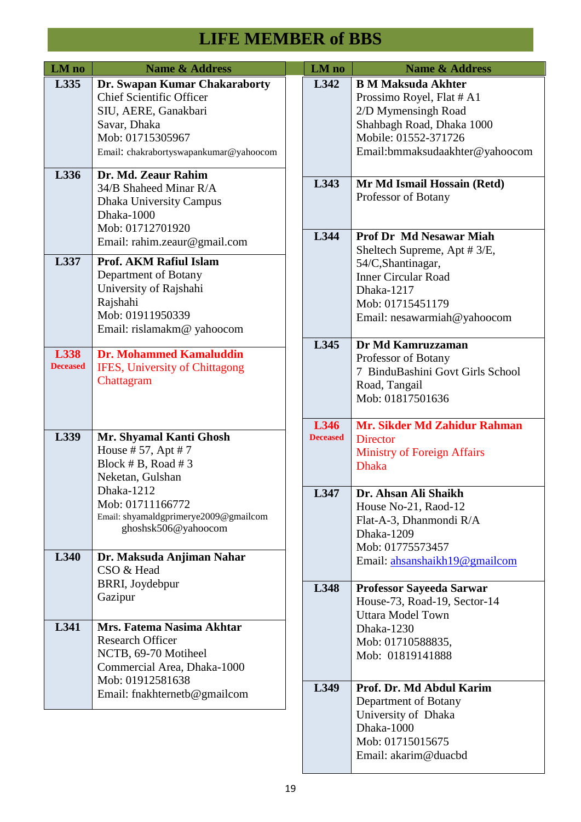| LM no                   | <b>Name &amp; Address</b>                                                                                                                                              | LM no                   | <b>Name &amp; Address</b>                                                                                                                                            |
|-------------------------|------------------------------------------------------------------------------------------------------------------------------------------------------------------------|-------------------------|----------------------------------------------------------------------------------------------------------------------------------------------------------------------|
| L335                    | Dr. Swapan Kumar Chakaraborty<br><b>Chief Scientific Officer</b><br>SIU, AERE, Ganakbari<br>Savar, Dhaka<br>Mob: 01715305967<br>Email: chakrabortyswapankumar@yahoocom | L342                    | <b>B M Maksuda Akhter</b><br>Prossimo Royel, Flat # A1<br>2/D Mymensingh Road<br>Shahbagh Road, Dhaka 1000<br>Mobile: 01552-371726<br>Email:bmmaksudaakhter@yahoocom |
| L336                    | Dr. Md. Zeaur Rahim<br>34/B Shaheed Minar R/A<br><b>Dhaka University Campus</b><br>Dhaka-1000<br>Mob: 01712701920<br>Email: rahim.zeaur@gmail.com                      | L343<br>L344            | Mr Md Ismail Hossain (Retd)<br>Professor of Botany<br><b>Prof Dr Md Nesawar Miah</b>                                                                                 |
| L337                    | <b>Prof. AKM Rafiul Islam</b><br>Department of Botany<br>University of Rajshahi<br>Rajshahi<br>Mob: 01911950339<br>Email: rislamakm@ yahoocom                          |                         | Sheltech Supreme, Apt # 3/E,<br>54/C,Shantinagar,<br><b>Inner Circular Road</b><br>Dhaka-1217<br>Mob: 01715451179<br>Email: nesawarmiah@yahoocom                     |
| L338<br><b>Deceased</b> | <b>Dr. Mohammed Kamaluddin</b><br><b>IFES, University of Chittagong</b><br>Chattagram                                                                                  | L345                    | Dr Md Kamruzzaman<br>Professor of Botany<br>7 BinduBashini Govt Girls School<br>Road, Tangail<br>Mob: 01817501636                                                    |
| L339                    | Mr. Shyamal Kanti Ghosh<br>House # 57, Apt # 7<br>Block # B, Road # 3<br>Neketan, Gulshan                                                                              | L346<br><b>Deceased</b> | Mr. Sikder Md Zahidur Rahman<br><b>Director</b><br><b>Ministry of Foreign Affairs</b><br><b>Dhaka</b>                                                                |
| L340                    | Dhaka-1212<br>Mob: 01711166772<br>Email: shyamaldgprimerye2009@gmailcom<br>ghoshsk506@yahoocom<br>Dr. Maksuda Anjiman Nahar<br>CSO & Head                              | L347                    | Dr. Ahsan Ali Shaikh<br>House No-21, Raod-12<br>Flat-A-3, Dhanmondi R/A<br><b>Dhaka-1209</b><br>Mob: 01775573457<br>Email: ahsanshaikh19@gmailcom                    |
|                         | BRRI, Joydebpur<br>Gazipur                                                                                                                                             | L348                    | <b>Professor Sayeeda Sarwar</b><br>House-73, Road-19, Sector-14<br><b>Uttara Model Town</b>                                                                          |
| L341                    | Mrs. Fatema Nasima Akhtar<br><b>Research Officer</b><br>NCTB, 69-70 Motiheel<br>Commercial Area, Dhaka-1000<br>Mob: 01912581638                                        |                         | Dhaka-1230<br>Mob: 01710588835,<br>Mob: 01819141888                                                                                                                  |
|                         | Email: fnakhternetb@gmailcom                                                                                                                                           | L349                    | Prof. Dr. Md Abdul Karim<br>Department of Botany<br>University of Dhaka<br>Dhaka-1000<br>Mob: 01715015675<br>Email: akarim@duacbd                                    |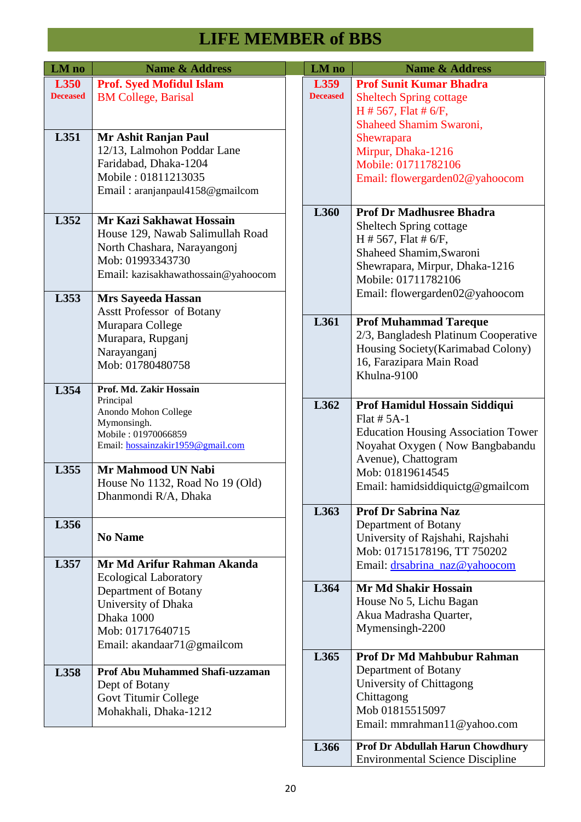| LM no                   | <b>Name &amp; Address</b>                                                                                                                                                    | LM no                   | <b>Name &amp; Address</b>                                                                                                                                                                                        |
|-------------------------|------------------------------------------------------------------------------------------------------------------------------------------------------------------------------|-------------------------|------------------------------------------------------------------------------------------------------------------------------------------------------------------------------------------------------------------|
| L350<br><b>Deceased</b> | <b>Prof. Syed Mofidul Islam</b><br><b>BM College, Barisal</b>                                                                                                                | L359<br><b>Deceased</b> | <b>Prof Sunit Kumar Bhadra</b><br><b>Sheltech Spring cottage</b><br>$H \# 567$ , Flat $\# 6/F$ ,<br>Shaheed Shamim Swaroni,                                                                                      |
| L351                    | Mr Ashit Ranjan Paul<br>12/13, Lalmohon Poddar Lane<br>Faridabad, Dhaka-1204<br>Mobile: 01811213035<br>Email: aranjanpaul4158@gmailcom                                       |                         | Shewrapara<br>Mirpur, Dhaka-1216<br>Mobile: 01711782106<br>Email: flowergarden02@yahoocom                                                                                                                        |
| L352<br>L353            | Mr Kazi Sakhawat Hossain<br>House 129, Nawab Salimullah Road<br>North Chashara, Narayangonj<br>Mob: 01993343730<br>Email: kazisakhawathossain@yahoocom<br>Mrs Sayeeda Hassan | L360                    | <b>Prof Dr Madhusree Bhadra</b><br>Sheltech Spring cottage<br>$H \# 567$ , Flat $\# 6/F$ ,<br>Shaheed Shamim, Swaroni<br>Shewrapara, Mirpur, Dhaka-1216<br>Mobile: 01711782106<br>Email: flowergarden02@yahoocom |
|                         | <b>Asstt Professor of Botany</b><br>Murapara College<br>Murapara, Rupganj<br>Narayanganj<br>Mob: 01780480758                                                                 | L361                    | <b>Prof Muhammad Tareque</b><br>2/3, Bangladesh Platinum Cooperative<br>Housing Society(Karimabad Colony)<br>16, Farazipara Main Road<br>Khulna-9100                                                             |
| L354                    | Prof. Md. Zakir Hossain<br>Principal<br>Anondo Mohon College<br>Mymonsingh.<br>Mobile: 01970066859<br>Email: hossainzakir1959@gmail.com                                      | L362                    | Prof Hamidul Hossain Siddiqui<br>Flat $# 5A-1$<br><b>Education Housing Association Tower</b><br>Noyahat Oxygen (Now Bangbabandu<br>Avenue), Chattogram                                                           |
| L355                    | Mr Mahmood UN Nabi<br>House No 1132, Road No 19 (Old)<br>Dhanmondi R/A, Dhaka                                                                                                |                         | Mob: 01819614545<br>Email: hamidsiddiquictg@gmailcom                                                                                                                                                             |
| L356                    | <b>No Name</b><br>Mr Md Arifur Rahman Akanda                                                                                                                                 | L363                    | <b>Prof Dr Sabrina Naz</b><br>Department of Botany<br>University of Rajshahi, Rajshahi<br>Mob: 01715178196, TT 750202                                                                                            |
| L357                    | <b>Ecological Laboratory</b><br>Department of Botany<br>University of Dhaka<br>Dhaka 1000<br>Mob: 01717640715<br>Email: akandaar71@gmailcom                                  | L364                    | Email: drsabrina_naz@yahoocom<br><b>Mr Md Shakir Hossain</b><br>House No 5, Lichu Bagan<br>Akua Madrasha Quarter,<br>Mymensingh-2200                                                                             |
| L358                    | <b>Prof Abu Muhammed Shafi-uzzaman</b><br>Dept of Botany<br>Govt Titumir College<br>Mohakhali, Dhaka-1212                                                                    | L365                    | <b>Prof Dr Md Mahbubur Rahman</b><br>Department of Botany<br>University of Chittagong<br>Chittagong<br>Mob 01815515097<br>Email: mmrahman11@yahoo.com                                                            |
|                         |                                                                                                                                                                              | L366                    | <b>Prof Dr Abdullah Harun Chowdhury</b>                                                                                                                                                                          |

Environmental Science Discipline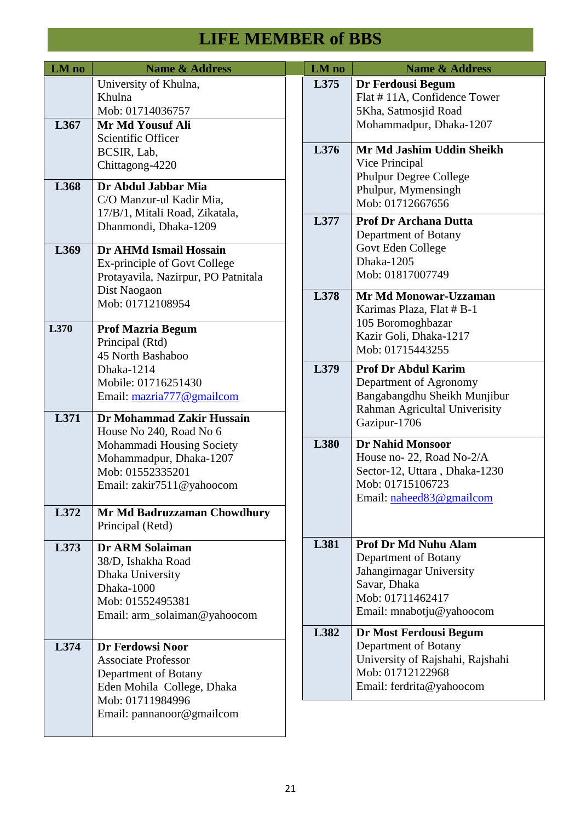| LM no | <b>Name &amp; Address</b>                      | LM no | <b>Name &amp; Address</b>                            |
|-------|------------------------------------------------|-------|------------------------------------------------------|
|       | University of Khulna,<br>Khulna                | L375  | Dr Ferdousi Begum                                    |
|       | Mob: 01714036757                               |       | Flat #11A, Confidence Tower<br>5Kha, Satmosjid Road  |
| L367  | Mr Md Yousuf Ali                               |       | Mohammadpur, Dhaka-1207                              |
|       | Scientific Officer                             |       |                                                      |
|       | BCSIR, Lab,                                    | L376  | Mr Md Jashim Uddin Sheikh                            |
|       | Chittagong-4220                                |       | Vice Principal                                       |
| L368  | Dr Abdul Jabbar Mia                            |       | <b>Phulpur Degree College</b><br>Phulpur, Mymensingh |
|       | C/O Manzur-ul Kadir Mia,                       |       | Mob: 01712667656                                     |
|       | 17/B/1, Mitali Road, Zikatala,                 | L377  | <b>Prof Dr Archana Dutta</b>                         |
|       | Dhanmondi, Dhaka-1209                          |       | Department of Botany                                 |
| L369  | Dr AHMd Ismail Hossain                         |       | Govt Eden College                                    |
|       | Ex-principle of Govt College                   |       | Dhaka-1205                                           |
|       | Protayavila, Nazirpur, PO Patnitala            |       | Mob: 01817007749                                     |
|       | Dist Naogaon                                   | L378  | Mr Md Monowar-Uzzaman                                |
|       | Mob: 01712108954                               |       | Karimas Plaza, Flat # B-1                            |
| L370  |                                                |       | 105 Boromoghbazar                                    |
|       | <b>Prof Mazria Begum</b><br>Principal (Rtd)    |       | Kazir Goli, Dhaka-1217                               |
|       | 45 North Bashaboo                              |       | Mob: 01715443255                                     |
|       | Dhaka-1214                                     | L379  | <b>Prof Dr Abdul Karim</b>                           |
|       | Mobile: 01716251430                            |       | Department of Agronomy                               |
|       | Email: mazria777@gmailcom                      |       | Bangabangdhu Sheikh Munjibur                         |
| L371  | Dr Mohammad Zakir Hussain                      |       | Rahman Agricultal Univerisity                        |
|       | House No 240, Road No 6                        |       | Gazipur-1706                                         |
|       | Mohammadi Housing Society                      | L380  | <b>Dr Nahid Monsoor</b>                              |
|       | Mohammadpur, Dhaka-1207                        |       | House no- 22, Road No-2/A                            |
|       | Mob: 01552335201                               |       | Sector-12, Uttara, Dhaka-1230                        |
|       | Email: zakir7511@yahoocom                      |       | Mob: 01715106723<br>Email: naheed83@gmailcom         |
| L372  | Mr Md Badruzzaman Chowdhury                    |       |                                                      |
|       | Principal (Retd)                               |       |                                                      |
|       |                                                | L381  | <b>Prof Dr Md Nuhu Alam</b>                          |
| L373  | <b>Dr ARM Solaiman</b><br>38/D, Ishakha Road   |       | Department of Botany                                 |
|       | Dhaka University                               |       | Jahangirnagar University                             |
|       | Dhaka-1000                                     |       | Savar, Dhaka                                         |
|       | Mob: 01552495381                               |       | Mob: 01711462417                                     |
|       | Email: arm_solaiman@yahoocom                   |       | Email: mnabotju@yahoocom                             |
|       |                                                | L382  | Dr Most Ferdousi Begum                               |
| L374  | Dr Ferdowsi Noor                               |       | Department of Botany                                 |
|       | <b>Associate Professor</b>                     |       | University of Rajshahi, Rajshahi                     |
|       | Department of Botany                           |       | Mob: 01712122968                                     |
|       | Eden Mohila College, Dhaka<br>Mob: 01711984996 |       | Email: ferdrita@yahoocom                             |
|       | Email: pannanoor@gmailcom                      |       |                                                      |
|       |                                                |       |                                                      |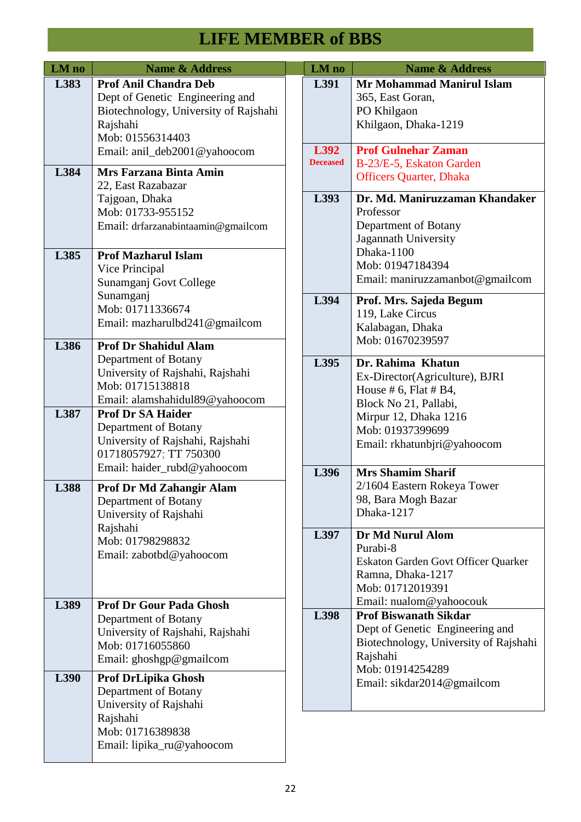| LM no | <b>Name &amp; Address</b>                                                                                                                     |  | LM no                   | <b>Name &amp; Address</b>                                                                                                                                           |
|-------|-----------------------------------------------------------------------------------------------------------------------------------------------|--|-------------------------|---------------------------------------------------------------------------------------------------------------------------------------------------------------------|
| L383  | <b>Prof Anil Chandra Deb</b><br>Dept of Genetic Engineering and<br>Biotechnology, University of Rajshahi<br>Rajshahi<br>Mob: 01556314403      |  | L391                    | <b>Mr Mohammad Manirul Islam</b><br>365, East Goran,<br>PO Khilgaon<br>Khilgaon, Dhaka-1219                                                                         |
| L384  | Email: anil_deb2001@yahoocom<br>Mrs Farzana Binta Amin<br>22, East Razabazar                                                                  |  | L392<br><b>Deceased</b> | <b>Prof Gulnehar Zaman</b><br>B-23/E-5, Eskaton Garden<br><b>Officers Quarter, Dhaka</b>                                                                            |
|       | Tajgoan, Dhaka<br>Mob: 01733-955152<br>Email: drfarzanabintaamin@gmailcom                                                                     |  | L393                    | Dr. Md. Maniruzzaman Khandaker<br>Professor<br>Department of Botany<br>Jagannath University                                                                         |
| L385  | <b>Prof Mazharul Islam</b><br>Vice Principal<br>Sunamganj Govt College<br>Sunamganj<br>Mob: 01711336674                                       |  | L394                    | Dhaka-1100<br>Mob: 01947184394<br>Email: maniruzzamanbot@gmailcom<br>Prof. Mrs. Sajeda Begum<br>119, Lake Circus<br>Kalabagan, Dhaka<br>Mob: 01670239597            |
| L386  | Email: mazharulbd241@gmailcom<br><b>Prof Dr Shahidul Alam</b>                                                                                 |  |                         |                                                                                                                                                                     |
|       | Department of Botany<br>University of Rajshahi, Rajshahi<br>Mob: 01715138818<br>Email: alamshahidul89@yahoocom                                |  | L395                    | Dr. Rahima Khatun<br>Ex-Director(Agriculture), BJRI<br>House # 6, Flat # B4,<br>Block No 21, Pallabi,                                                               |
| L387  | <b>Prof Dr SA Haider</b><br>Department of Botany<br>University of Rajshahi, Rajshahi<br>01718057927; TT 750300<br>Email: haider_rubd@yahoocom |  |                         | Mirpur 12, Dhaka 1216<br>Mob: 01937399699<br>Email: rkhatunbjri@yahoocom                                                                                            |
| L388  | Prof Dr Md Zahangir Alam<br>Department of Botany<br>University of Rajshahi<br>Rajshahi                                                        |  | L396                    | <b>Mrs Shamim Sharif</b><br>2/1604 Eastern Rokeya Tower<br>98, Bara Mogh Bazar<br>Dhaka-1217                                                                        |
|       | Mob: 01798298832<br>Email: zabotbd@yahoocom                                                                                                   |  | L397                    | Dr Md Nurul Alom<br>Purabi-8<br>Eskaton Garden Govt Officer Quarker<br>Ramna, Dhaka-1217<br>Mob: 01712019391                                                        |
| L389  | <b>Prof Dr Gour Pada Ghosh</b><br>Department of Botany<br>University of Rajshahi, Rajshahi<br>Mob: 01716055860<br>Email: ghoshgp@gmailcom     |  | L398                    | Email: nualom@yahoocouk<br><b>Prof Biswanath Sikdar</b><br>Dept of Genetic Engineering and<br>Biotechnology, University of Rajshahi<br>Rajshahi<br>Mob: 01914254289 |
| L390  | <b>Prof DrLipika Ghosh</b><br>Department of Botany<br>University of Rajshahi<br>Rajshahi<br>Mob: 01716389838<br>Email: lipika_ru@yahoocom     |  |                         | Email: sikdar2014@gmailcom                                                                                                                                          |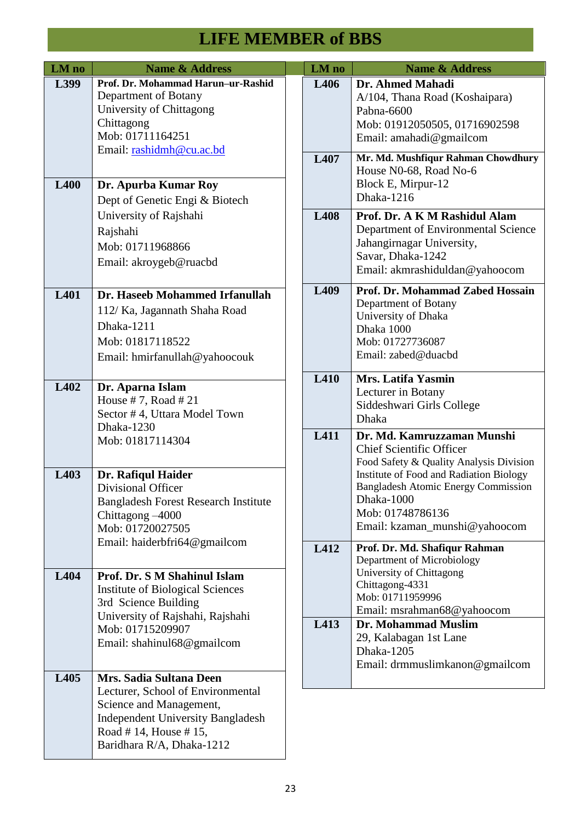| LM no       | <b>Name &amp; Address</b>                                                                                                                                     |  | LM no            | <b>Name &amp; Address</b>                                                                                                                                                                                                                                            |
|-------------|---------------------------------------------------------------------------------------------------------------------------------------------------------------|--|------------------|----------------------------------------------------------------------------------------------------------------------------------------------------------------------------------------------------------------------------------------------------------------------|
| L399        | Prof. Dr. Mohammad Harun-ur-Rashid<br>Department of Botany<br>University of Chittagong<br>Chittagong<br>Mob: 01711164251<br>Email: rashidmh@cu.ac.bd          |  | L406             | Dr. Ahmed Mahadi<br>A/104, Thana Road (Koshaipara)<br>Pabna-6600<br>Mob: 01912050505, 01716902598<br>Email: amahadi@gmailcom                                                                                                                                         |
| <b>L400</b> | Dr. Apurba Kumar Roy<br>Dept of Genetic Engi & Biotech                                                                                                        |  | L407             | Mr. Md. Mushfiqur Rahman Chowdhury<br>House N0-68, Road No-6<br>Block E, Mirpur-12<br>Dhaka-1216                                                                                                                                                                     |
|             | University of Rajshahi<br>Rajshahi<br>Mob: 01711968866<br>Email: akroygeb@ruacbd                                                                              |  | L408             | Prof. Dr. A K M Rashidul Alam<br>Department of Environmental Science<br>Jahangirnagar University,<br>Savar, Dhaka-1242<br>Email: akmrashiduldan@yahoocom                                                                                                             |
| L401        | Dr. Haseeb Mohammed Irfanullah<br>112/ Ka, Jagannath Shaha Road<br>Dhaka-1211<br>Mob: 01817118522<br>Email: hmirfanullah@yahoocouk                            |  | L <sub>409</sub> | Prof. Dr. Mohammad Zabed Hossain<br>Department of Botany<br>University of Dhaka<br>Dhaka 1000<br>Mob: 01727736087<br>Email: zabed@duacbd                                                                                                                             |
| L402        | Dr. Aparna Islam<br>House #7, Road #21<br>Sector #4, Uttara Model Town<br>Dhaka-1230                                                                          |  | L410             | Mrs. Latifa Yasmin<br>Lecturer in Botany<br>Siddeshwari Girls College<br>Dhaka                                                                                                                                                                                       |
| L403        | Mob: 01817114304<br>Dr. Rafiqul Haider<br><b>Divisional Officer</b><br><b>Bangladesh Forest Research Institute</b><br>Chittagong -4000<br>Mob: 01720027505    |  | L411             | Dr. Md. Kamruzzaman Munshi<br><b>Chief Scientific Officer</b><br>Food Safety & Quality Analysis Division<br>Institute of Food and Radiation Biology<br><b>Bangladesh Atomic Energy Commission</b><br>Dhaka-1000<br>Mob: 01748786136<br>Email: kzaman_munshi@yahoocom |
| L404        | Email: haiderbfri64@gmailcom<br>Prof. Dr. S M Shahinul Islam<br><b>Institute of Biological Sciences</b><br>3rd Science Building                               |  | L412             | Prof. Dr. Md. Shafiqur Rahman<br>Department of Microbiology<br>University of Chittagong<br>Chittagong-4331<br>Mob: 01711959996<br>Email: msrahman68@yahoocom                                                                                                         |
| L405        | University of Rajshahi, Rajshahi<br>Mob: 01715209907<br>Email: shahinul68@gmailcom<br>Mrs. Sadia Sultana Deen                                                 |  | L413             | Dr. Mohammad Muslim<br>29, Kalabagan 1st Lane<br>Dhaka-1205<br>Email: drmmuslimkanon@gmailcom                                                                                                                                                                        |
|             | Lecturer, School of Environmental<br>Science and Management,<br><b>Independent University Bangladesh</b><br>Road #14, House #15,<br>Baridhara R/A, Dhaka-1212 |  |                  |                                                                                                                                                                                                                                                                      |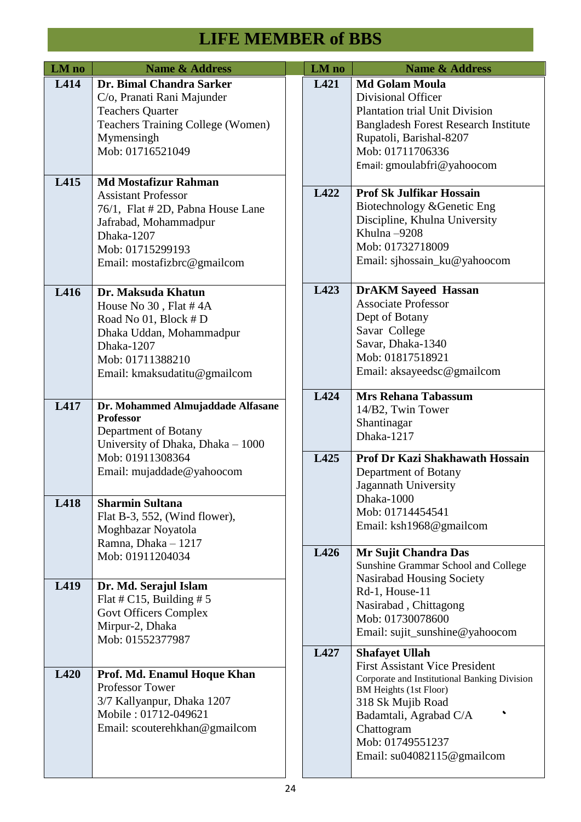| LM no | <b>Name &amp; Address</b>                                                                                                                                                                | LM no | <b>Name &amp; Address</b>                                                                                                                                                                                                                                         |
|-------|------------------------------------------------------------------------------------------------------------------------------------------------------------------------------------------|-------|-------------------------------------------------------------------------------------------------------------------------------------------------------------------------------------------------------------------------------------------------------------------|
| L414  | Dr. Bimal Chandra Sarker<br>C/o, Pranati Rani Majunder<br><b>Teachers Quarter</b><br><b>Teachers Training College (Women)</b><br>Mymensingh<br>Mob: 01716521049                          | L421  | <b>Md Golam Moula</b><br>Divisional Officer<br><b>Plantation trial Unit Division</b><br><b>Bangladesh Forest Research Institute</b><br>Rupatoli, Barishal-8207<br>Mob: 01711706336<br>Email: gmoulabfri@yahoocom                                                  |
| L415  | <b>Md Mostafizur Rahman</b><br><b>Assistant Professor</b><br>76/1, Flat # 2D, Pabna House Lane<br>Jafrabad, Mohammadpur<br>Dhaka-1207<br>Mob: 01715299193<br>Email: mostafizbrc@gmailcom | L422  | <b>Prof Sk Julfikar Hossain</b><br>Biotechnology & Genetic Eng<br>Discipline, Khulna University<br>Khulna-9208<br>Mob: 01732718009<br>Email: sjhossain_ku@yahoocom                                                                                                |
| L416  | Dr. Maksuda Khatun<br>House No 30, Flat #4A<br>Road No 01, Block # D<br>Dhaka Uddan, Mohammadpur<br>Dhaka-1207<br>Mob: 01711388210<br>Email: kmaksudatitu@gmailcom                       | L423  | <b>DrAKM Sayeed Hassan</b><br><b>Associate Professor</b><br>Dept of Botany<br>Savar College<br>Savar, Dhaka-1340<br>Mob: 01817518921<br>Email: aksayeedsc@gmailcom                                                                                                |
| L417  | Dr. Mohammed Almujaddade Alfasane<br><b>Professor</b><br>Department of Botany<br>University of Dhaka, Dhaka - 1000                                                                       | L424  | <b>Mrs Rehana Tabassum</b><br>14/B2, Twin Tower<br>Shantinagar<br>Dhaka-1217                                                                                                                                                                                      |
|       | Mob: 01911308364<br>Email: mujaddade@yahoocom                                                                                                                                            | L425  | <b>Prof Dr Kazi Shakhawath Hossain</b><br>Department of Botany<br>Jagannath University<br>Dhaka-1000                                                                                                                                                              |
| L418  | <b>Sharmin Sultana</b><br>Flat B-3, 552, (Wind flower),<br>Moghbazar Noyatola<br>Ramna, Dhaka - 1217                                                                                     |       | Mob: 01714454541<br>Email: ksh1968@gmailcom                                                                                                                                                                                                                       |
|       | Mob: 01911204034                                                                                                                                                                         | L426  | Mr Sujit Chandra Das<br>Sunshine Grammar School and College<br>Nasirabad Housing Society                                                                                                                                                                          |
| L419  | Dr. Md. Serajul Islam<br>Flat # C15, Building # $5$<br><b>Govt Officers Complex</b><br>Mirpur-2, Dhaka<br>Mob: 01552377987                                                               |       | Rd-1, House-11<br>Nasirabad, Chittagong<br>Mob: 01730078600<br>Email: sujit_sunshine@yahoocom                                                                                                                                                                     |
| L420  | Prof. Md. Enamul Hoque Khan<br><b>Professor Tower</b><br>3/7 Kallyanpur, Dhaka 1207<br>Mobile: 01712-049621<br>Email: scouterehkhan@gmailcom                                             | L427  | <b>Shafayet Ullah</b><br><b>First Assistant Vice President</b><br>Corporate and Institutional Banking Division<br><b>BM Heights (1st Floor)</b><br>318 Sk Mujib Road<br>Badamtali, Agrabad C/A<br>Chattogram<br>Mob: 01749551237<br>Email: $su04082115@$ gmailcom |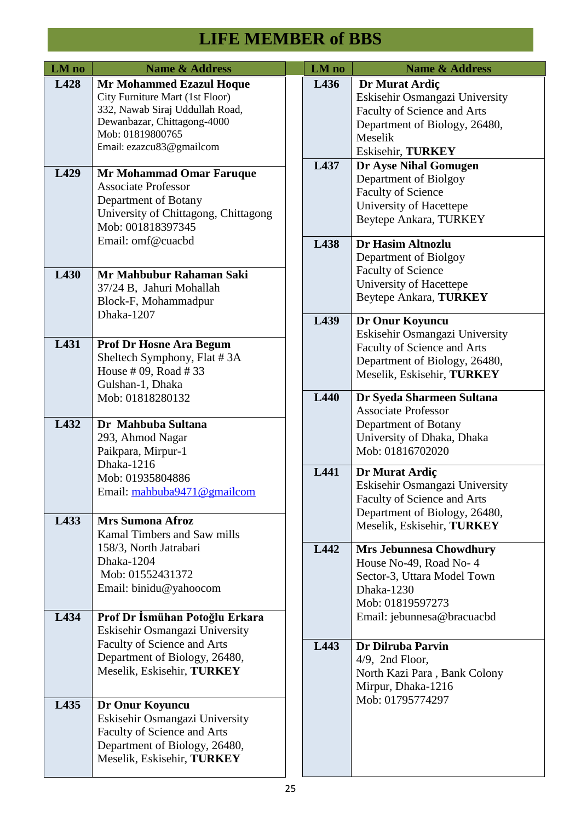| LM no | <b>Name &amp; Address</b>                                                                                                                                                            |  | LM no | <b>Name &amp; Address</b>                                                                                                                        |
|-------|--------------------------------------------------------------------------------------------------------------------------------------------------------------------------------------|--|-------|--------------------------------------------------------------------------------------------------------------------------------------------------|
| L428  | <b>Mr Mohammed Ezazul Hoque</b><br>City Furniture Mart (1st Floor)<br>332, Nawab Siraj Uddullah Road,<br>Dewanbazar, Chittagong-4000<br>Mob: 01819800765<br>Email: ezazcu83@gmailcom |  | L436  | Dr Murat Ardiç<br>Eskisehir Osmangazi University<br>Faculty of Science and Arts<br>Department of Biology, 26480,<br>Meselik<br>Eskisehir, TURKEY |
| L429  | Mr Mohammad Omar Faruque<br><b>Associate Professor</b><br>Department of Botany<br>University of Chittagong, Chittagong<br>Mob: 001818397345<br>Email: omf@cuacbd                     |  | L437  | Dr Ayse Nihal Gomugen<br>Department of Biolgoy<br><b>Faculty of Science</b><br>University of Hacettepe<br>Beytepe Ankara, TURKEY                 |
| L430  | Mr Mahbubur Rahaman Saki<br>37/24 B, Jahuri Mohallah<br>Block-F, Mohammadpur<br>Dhaka-1207                                                                                           |  | L438  | <b>Dr Hasim Altnozlu</b><br>Department of Biolgoy<br><b>Faculty of Science</b><br>University of Hacettepe<br>Beytepe Ankara, TURKEY              |
| L431  | <b>Prof Dr Hosne Ara Begum</b><br>Sheltech Symphony, Flat #3A<br>House # 09, Road # 33<br>Gulshan-1, Dhaka                                                                           |  | L439  | Dr Onur Koyuncu<br>Eskisehir Osmangazi University<br>Faculty of Science and Arts<br>Department of Biology, 26480,<br>Meselik, Eskisehir, TURKEY  |
| L432  | Mob: 01818280132<br>Dr Mahbuba Sultana<br>293, Ahmod Nagar<br>Paikpara, Mirpur-1                                                                                                     |  | L440  | Dr Syeda Sharmeen Sultana<br><b>Associate Professor</b><br>Department of Botany<br>University of Dhaka, Dhaka<br>Mob: 01816702020                |
| L433  | Dhaka-1216<br>Mob: 01935804886<br>Email: mahbuba9471@gmailcom<br><b>Mrs Sumona Afroz</b><br>Kamal Timbers and Saw mills                                                              |  | L441  | Dr Murat Ardiç<br>Eskisehir Osmangazi University<br>Faculty of Science and Arts<br>Department of Biology, 26480,<br>Meselik, Eskisehir, TURKEY   |
|       | 158/3, North Jatrabari<br>Dhaka-1204<br>Mob: 01552431372<br>Email: binidu@yahoocom                                                                                                   |  | L442  | <b>Mrs Jebunnesa Chowdhury</b><br>House No-49, Road No-4<br>Sector-3, Uttara Model Town<br>Dhaka-1230<br>Mob: 01819597273                        |
| L434  | Prof Dr İsmühan Potoğlu Erkara<br>Eskisehir Osmangazi University                                                                                                                     |  |       | Email: jebunnesa@bracuacbd                                                                                                                       |
|       | Faculty of Science and Arts<br>Department of Biology, 26480,<br>Meselik, Eskisehir, TURKEY                                                                                           |  | L443  | Dr Dilruba Parvin<br>$4/9$ , 2nd Floor,<br>North Kazi Para, Bank Colony<br>Mirpur, Dhaka-1216                                                    |
| L435  | Dr Onur Koyuncu<br>Eskisehir Osmangazi University<br>Faculty of Science and Arts<br>Department of Biology, 26480,<br>Meselik, Eskisehir, TURKEY                                      |  |       | Mob: 01795774297                                                                                                                                 |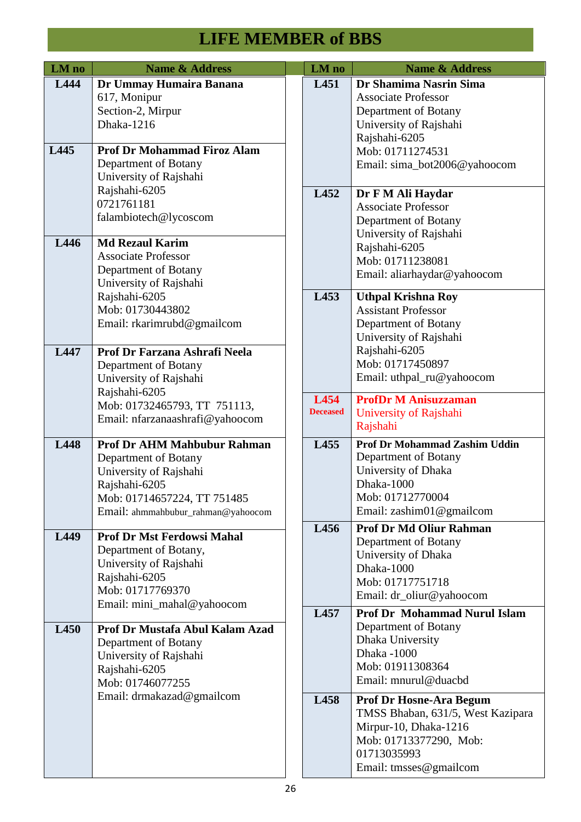| LM no | <b>Name &amp; Address</b>                                                                                                                                                  |  | LM no                   | <b>Name &amp; Address</b>                                                                                                                                       |
|-------|----------------------------------------------------------------------------------------------------------------------------------------------------------------------------|--|-------------------------|-----------------------------------------------------------------------------------------------------------------------------------------------------------------|
| L444  | Dr Ummay Humaira Banana<br>617, Monipur<br>Section-2, Mirpur<br>Dhaka-1216                                                                                                 |  | L451                    | Dr Shamima Nasrin Sima<br><b>Associate Professor</b><br>Department of Botany<br>University of Rajshahi<br>Rajshahi-6205                                         |
| L445  | <b>Prof Dr Mohammad Firoz Alam</b><br>Department of Botany<br>University of Rajshahi                                                                                       |  |                         | Mob: 01711274531<br>Email: sima_bot2006@yahoocom                                                                                                                |
|       | Rajshahi-6205<br>0721761181<br>falambiotech@lycoscom                                                                                                                       |  | L452                    | Dr F M Ali Haydar<br><b>Associate Professor</b><br>Department of Botany<br>University of Rajshahi                                                               |
| L446  | <b>Md Rezaul Karim</b><br><b>Associate Professor</b><br>Department of Botany<br>University of Rajshahi                                                                     |  |                         | Rajshahi-6205<br>Mob: 01711238081<br>Email: aliarhaydar@yahoocom                                                                                                |
|       | Rajshahi-6205<br>Mob: 01730443802<br>Email: rkarimrubd@gmailcom                                                                                                            |  | L453                    | <b>Uthpal Krishna Roy</b><br><b>Assistant Professor</b><br>Department of Botany<br>University of Rajshahi                                                       |
| L447  | Prof Dr Farzana Ashrafi Neela<br>Department of Botany<br>University of Rajshahi<br>Rajshahi-6205                                                                           |  |                         | Rajshahi-6205<br>Mob: 01717450897<br>Email: uthpal_ru@yahoocom                                                                                                  |
|       | Mob: 01732465793, TT 751113,<br>Email: nfarzanaashrafi@yahoocom                                                                                                            |  | L454<br><b>Deceased</b> | <b>ProfDr M Anisuzzaman</b><br>University of Rajshahi<br>Rajshahi                                                                                               |
| L448  | <b>Prof Dr AHM Mahbubur Rahman</b><br>Department of Botany<br>University of Rajshahi<br>Rajshahi-6205<br>Mob: 01714657224, TT 751485<br>Email: ahmmahbubur_rahman@yahoocom |  | L455                    | <b>Prof Dr Mohammad Zashim Uddin</b><br>Department of Botany<br>University of Dhaka<br>Dhaka-1000<br>Mob: 01712770004<br>Email: zashim01@gmailcom               |
| L449  | <b>Prof Dr Mst Ferdowsi Mahal</b><br>Department of Botany,<br>University of Rajshahi<br>Rajshahi-6205<br>Mob: 01717769370<br>Email: mini_mahal@yahoocom                    |  | L456                    | <b>Prof Dr Md Oliur Rahman</b><br>Department of Botany<br>University of Dhaka<br>Dhaka-1000<br>Mob: 01717751718<br>Email: dr_oliur@yahoocom                     |
| L450  | Prof Dr Mustafa Abul Kalam Azad<br>Department of Botany<br>University of Rajshahi<br>Rajshahi-6205<br>Mob: 01746077255                                                     |  | L457                    | <b>Prof Dr Mohammad Nurul Islam</b><br>Department of Botany<br>Dhaka University<br>Dhaka -1000<br>Mob: 01911308364<br>Email: mnurul@duacbd                      |
|       | Email: drmakazad@gmailcom                                                                                                                                                  |  | L458                    | <b>Prof Dr Hosne-Ara Begum</b><br>TMSS Bhaban, 631/5, West Kazipara<br>Mirpur-10, Dhaka-1216<br>Mob: 01713377290, Mob:<br>01713035993<br>Email: tmsses@gmailcom |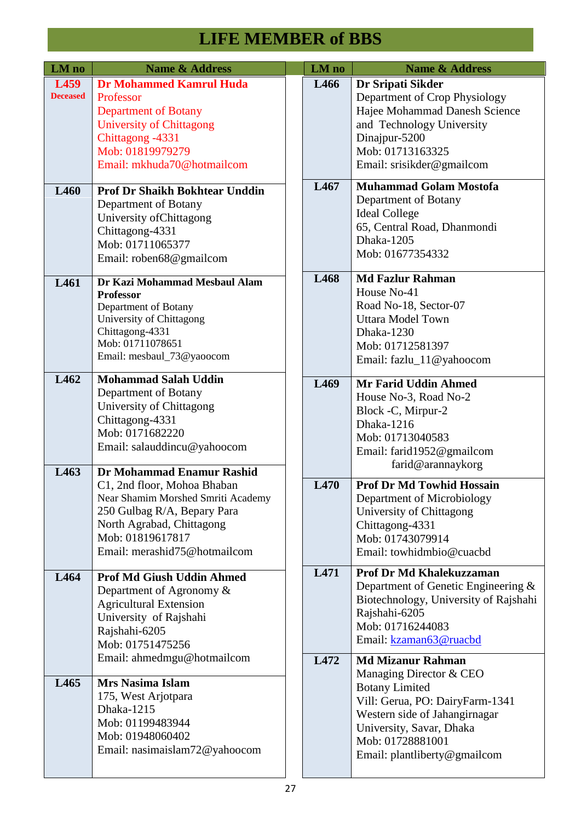| LM no                   | <b>Name &amp; Address</b>                                                                                                                                                                  | LM no | <b>Name &amp; Address</b>                                                                                                                                                                                                        |
|-------------------------|--------------------------------------------------------------------------------------------------------------------------------------------------------------------------------------------|-------|----------------------------------------------------------------------------------------------------------------------------------------------------------------------------------------------------------------------------------|
| L459<br><b>Deceased</b> | <b>Dr Mohammed Kamrul Huda</b><br>Professor<br><b>Department of Botany</b><br><b>University of Chittagong</b><br>Chittagong -4331<br>Mob: 01819979279<br>Email: mkhuda70@hotmailcom        | L466  | Dr Sripati Sikder<br>Department of Crop Physiology<br>Hajee Mohammad Danesh Science<br>and Technology University<br>Dinajpur-5200<br>Mob: 01713163325<br>Email: srisikder@gmailcom                                               |
| L460                    | <b>Prof Dr Shaikh Bokhtear Unddin</b><br>Department of Botany<br>University of Chittagong<br>Chittagong-4331<br>Mob: 01711065377<br>Email: roben68@gmailcom                                | L467  | <b>Muhammad Golam Mostofa</b><br>Department of Botany<br><b>Ideal College</b><br>65, Central Road, Dhanmondi<br>Dhaka-1205<br>Mob: 01677354332                                                                                   |
| L461                    | Dr Kazi Mohammad Mesbaul Alam<br><b>Professor</b><br>Department of Botany<br>University of Chittagong<br>Chittagong-4331<br>Mob: 01711078651<br>Email: mesbaul_73@yaoocom                  | L468  | <b>Md Fazlur Rahman</b><br>House No-41<br>Road No-18, Sector-07<br><b>Uttara Model Town</b><br>Dhaka-1230<br>Mob: 01712581397<br>Email: fazlu_11@yahoocom                                                                        |
| L462<br>L463            | <b>Mohammad Salah Uddin</b><br>Department of Botany<br>University of Chittagong<br>Chittagong-4331<br>Mob: 0171682220<br>Email: salauddincu@yahoocom<br>Dr Mohammad Enamur Rashid          | L469  | <b>Mr Farid Uddin Ahmed</b><br>House No-3, Road No-2<br>Block -C, Mirpur-2<br>Dhaka-1216<br>Mob: 01713040583<br>Email: farid1952@gmailcom<br>farid@arannaykorg                                                                   |
|                         | C1, 2nd floor, Mohoa Bhaban<br>Near Shamim Morshed Smriti Academy<br>250 Gulbag R/A, Bepary Para<br>North Agrabad, Chittagong<br>Mob: 01819617817<br>Email: merashid75@hotmailcom          | L470  | <b>Prof Dr Md Towhid Hossain</b><br>Department of Microbiology<br>University of Chittagong<br>Chittagong-4331<br>Mob: 01743079914<br>Email: towhidmbio@cuacbd                                                                    |
| L464                    | <b>Prof Md Giush Uddin Ahmed</b><br>Department of Agronomy &<br><b>Agricultural Extension</b><br>University of Rajshahi<br>Rajshahi-6205<br>Mob: 01751475256<br>Email: ahmedmgu@hotmailcom | L471  | Prof Dr Md Khalekuzzaman<br>Department of Genetic Engineering $\&$<br>Biotechnology, University of Rajshahi<br>Rajshahi-6205<br>Mob: 01716244083<br>Email: kzaman63@ruacbd                                                       |
| L465                    | <b>Mrs Nasima Islam</b><br>175, West Arjotpara<br>Dhaka-1215<br>Mob: 01199483944<br>Mob: 01948060402<br>Email: nasimaislam72@yahoocom                                                      | L472  | <b>Md Mizanur Rahman</b><br>Managing Director & CEO<br><b>Botany Limited</b><br>Vill: Gerua, PO: DairyFarm-1341<br>Western side of Jahangirnagar<br>University, Savar, Dhaka<br>Mob: 01728881001<br>Email: plantliberty@gmailcom |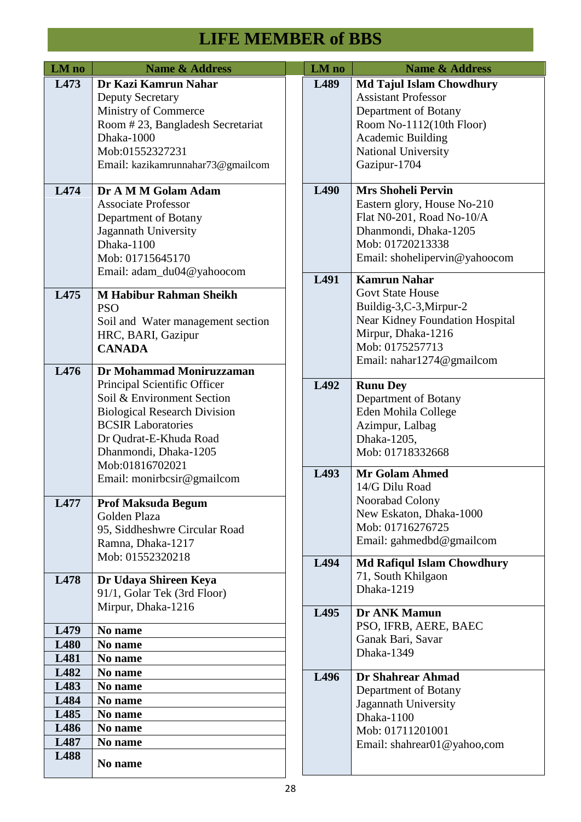| LM no                                                | <b>Name &amp; Address</b>                                                                                                                                                                                                        |  | LM no        | <b>Name &amp; Address</b>                                                                                                                                                                  |
|------------------------------------------------------|----------------------------------------------------------------------------------------------------------------------------------------------------------------------------------------------------------------------------------|--|--------------|--------------------------------------------------------------------------------------------------------------------------------------------------------------------------------------------|
| L473                                                 | Dr Kazi Kamrun Nahar<br><b>Deputy Secretary</b><br>Ministry of Commerce<br>Room #23, Bangladesh Secretariat<br>Dhaka-1000<br>Mob:01552327231<br>Email: kazikamrunnahar73@gmailcom                                                |  | L489         | <b>Md Tajul Islam Chowdhury</b><br><b>Assistant Professor</b><br>Department of Botany<br>Room No-1112(10th Floor)<br><b>Academic Building</b><br>National University<br>Gazipur-1704       |
| L474                                                 | Dr A M M Golam Adam<br><b>Associate Professor</b><br>Department of Botany<br>Jagannath University<br>Dhaka-1100<br>Mob: 01715645170<br>Email: adam_du04@yahoocom                                                                 |  | L490<br>L491 | <b>Mrs Shoheli Pervin</b><br>Eastern glory, House No-210<br>Flat N0-201, Road No-10/A<br>Dhanmondi, Dhaka-1205<br>Mob: 01720213338<br>Email: shohelipervin@yahoocom<br><b>Kamrun Nahar</b> |
| L475                                                 | <b>M Habibur Rahman Sheikh</b><br><b>PSO</b><br>Soil and Water management section<br>HRC, BARI, Gazipur<br><b>CANADA</b>                                                                                                         |  |              | <b>Govt State House</b><br>Buildig-3,C-3,Mirpur-2<br>Near Kidney Foundation Hospital<br>Mirpur, Dhaka-1216<br>Mob: 0175257713<br>Email: nahar1274@gmailcom                                 |
| L476                                                 | Dr Mohammad Moniruzzaman<br>Principal Scientific Officer<br>Soil & Environment Section<br><b>Biological Research Division</b><br><b>BCSIR Laboratories</b><br>Dr Qudrat-E-Khuda Road<br>Dhanmondi, Dhaka-1205<br>Mob:01816702021 |  | L492         | <b>Runu Dey</b><br>Department of Botany<br>Eden Mohila College<br>Azimpur, Lalbag<br>Dhaka-1205,<br>Mob: 01718332668                                                                       |
| L477                                                 | Email: monirbcsir@gmailcom<br><b>Prof Maksuda Begum</b><br>Golden Plaza<br>95, Siddheshwre Circular Road<br>Ramna, Dhaka-1217                                                                                                    |  | L493         | <b>Mr Golam Ahmed</b><br>14/G Dilu Road<br>Noorabad Colony<br>New Eskaton, Dhaka-1000<br>Mob: 01716276725<br>Email: gahmedbd@gmailcom                                                      |
| L478                                                 | Mob: 01552320218<br>Dr Udaya Shireen Keya<br>91/1, Golar Tek (3rd Floor)<br>Mirpur, Dhaka-1216                                                                                                                                   |  | L494         | <b>Md Rafiqul Islam Chowdhury</b><br>71, South Khilgaon<br>Dhaka-1219                                                                                                                      |
| L479<br><b>L480</b><br>L481                          | No name<br>No name<br>No name                                                                                                                                                                                                    |  | L495         | Dr ANK Mamun<br>PSO, IFRB, AERE, BAEC<br>Ganak Bari, Savar<br>Dhaka-1349                                                                                                                   |
| L482<br>L483<br>L484<br>L485<br>L486<br>L487<br>L488 | No name<br>No name<br>No name<br>No name<br>No name<br>No name<br>No name                                                                                                                                                        |  | L496         | Dr Shahrear Ahmad<br>Department of Botany<br>Jagannath University<br>Dhaka-1100<br>Mob: 01711201001<br>Email: shahrear01@yahoo,com                                                         |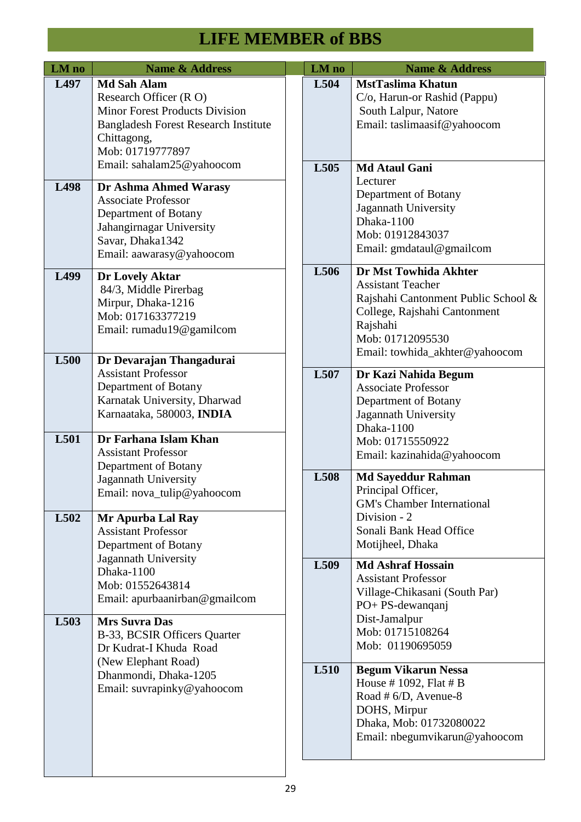| LM no        | <b>Name &amp; Address</b>                                                                                                                                                            |      | LM no                                                                                                                                                        | <b>Name &amp; Address</b>                                                                                                                                                                  |                                                                                                                                                     |
|--------------|--------------------------------------------------------------------------------------------------------------------------------------------------------------------------------------|------|--------------------------------------------------------------------------------------------------------------------------------------------------------------|--------------------------------------------------------------------------------------------------------------------------------------------------------------------------------------------|-----------------------------------------------------------------------------------------------------------------------------------------------------|
| L497         | <b>Md Sah Alam</b><br>Research Officer (RO)<br><b>Minor Forest Products Division</b><br><b>Bangladesh Forest Research Institute</b><br>Chittagong,<br>Mob: 01719777897               |      | L504                                                                                                                                                         | <b>MstTaslima Khatun</b><br>C/o, Harun-or Rashid (Pappu)<br>South Lalpur, Natore<br>Email: taslimaasif@yahoocom                                                                            |                                                                                                                                                     |
| L498         | Email: sahalam25@yahoocom<br>Dr Ashma Ahmed Warasy<br><b>Associate Professor</b><br>Department of Botany<br>Jahangirnagar University<br>Savar, Dhaka1342<br>Email: aawarasy@yahoocom |      | L505                                                                                                                                                         | <b>Md Ataul Gani</b><br>Lecturer<br>Department of Botany<br>Jagannath University<br>Dhaka-1100<br>Mob: 01912843037<br>Email: gmdataul@gmailcom                                             |                                                                                                                                                     |
| L499<br>L500 | Dr Lovely Aktar<br>84/3, Middle Pirerbag<br>Mirpur, Dhaka-1216<br>Mob: 017163377219<br>Email: rumadu19@gamilcom<br>Dr Devarajan Thangadurai                                          |      | L506                                                                                                                                                         | Dr Mst Towhida Akhter<br><b>Assistant Teacher</b><br>Rajshahi Cantonment Public School &<br>College, Rajshahi Cantonment<br>Rajshahi<br>Mob: 01712095530<br>Email: towhida_akhter@yahoocom |                                                                                                                                                     |
|              | <b>Assistant Professor</b><br>Department of Botany<br>Karnatak University, Dharwad<br>Karnaataka, 580003, INDIA                                                                      |      | L507                                                                                                                                                         | Dr Kazi Nahida Begum<br><b>Associate Professor</b><br>Department of Botany<br>Jagannath University<br>Dhaka-1100                                                                           |                                                                                                                                                     |
| L501         | Dr Farhana Islam Khan<br><b>Assistant Professor</b><br>Department of Botany                                                                                                          |      |                                                                                                                                                              | Mob: 01715550922<br>Email: kazinahida@yahoocom                                                                                                                                             |                                                                                                                                                     |
| L502         | Jagannath University<br>Email: nova_tulip@yahoocom<br>Mr Apurba Lal Ray<br><b>Assistant Professor</b><br>Department of Botany                                                        |      |                                                                                                                                                              | L508                                                                                                                                                                                       | <b>Md Sayeddur Rahman</b><br>Principal Officer,<br><b>GM's Chamber International</b><br>Division - 2<br>Sonali Bank Head Office<br>Motijheel, Dhaka |
|              | Jagannath University<br>Dhaka-1100<br>Mob: 01552643814<br>Email: apurbaanirban@gmailcom<br><b>Mrs Suvra Das</b>                                                                      |      | L509                                                                                                                                                         | <b>Md Ashraf Hossain</b><br><b>Assistant Professor</b><br>Village-Chikasani (South Par)<br>PO+ PS-dewanqanj<br>Dist-Jamalpur                                                               |                                                                                                                                                     |
| L503         | B-33, BCSIR Officers Quarter<br>Dr Kudrat-I Khuda Road<br>(New Elephant Road)                                                                                                        |      |                                                                                                                                                              | Mob: 01715108264<br>Mob: 01190695059                                                                                                                                                       |                                                                                                                                                     |
|              | Dhanmondi, Dhaka-1205<br>Email: suvrapinky@yahoocom                                                                                                                                  | L510 | <b>Begum Vikarun Nessa</b><br>House #1092, Flat # $B$<br>Road # $6/D$ , Avenue-8<br>DOHS, Mirpur<br>Dhaka, Mob: 01732080022<br>Email: nbegumvikarun@yahoocom |                                                                                                                                                                                            |                                                                                                                                                     |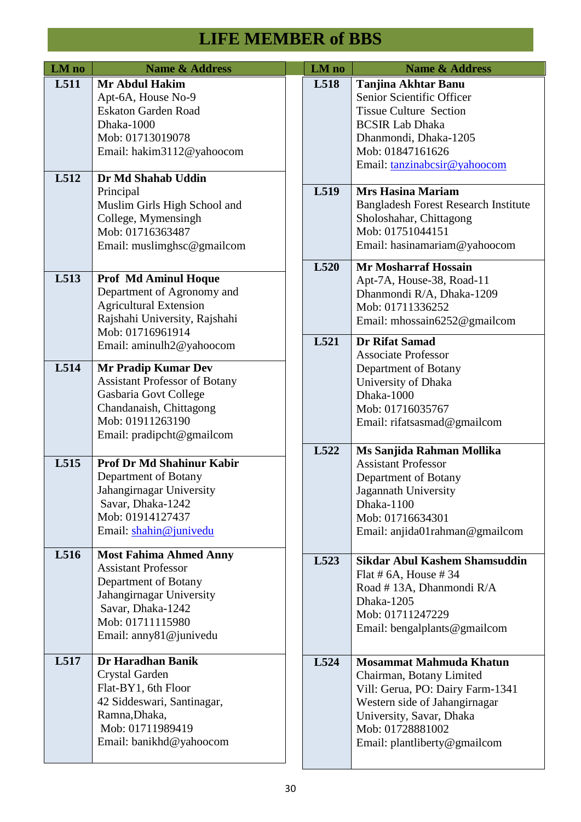| LM no        | <b>Name &amp; Address</b>                                                                                                                                                                           | LM no | <b>Name &amp; Address</b>                                                                                                                                                                                |
|--------------|-----------------------------------------------------------------------------------------------------------------------------------------------------------------------------------------------------|-------|----------------------------------------------------------------------------------------------------------------------------------------------------------------------------------------------------------|
| L511<br>L512 | <b>Mr Abdul Hakim</b><br>Apt-6A, House No-9<br><b>Eskaton Garden Road</b><br>Dhaka-1000<br>Mob: 01713019078<br>Email: hakim3112@yahoocom<br>Dr Md Shahab Uddin                                      | L518  | <b>Tanjina Akhtar Banu</b><br>Senior Scientific Officer<br><b>Tissue Culture Section</b><br><b>BCSIR Lab Dhaka</b><br>Dhanmondi, Dhaka-1205<br>Mob: 01847161626<br>Email: tanzinabcsir@yahoocom          |
|              | Principal<br>Muslim Girls High School and<br>College, Mymensingh<br>Mob: 01716363487<br>Email: muslimghsc@gmailcom                                                                                  | L519  | <b>Mrs Hasina Mariam</b><br><b>Bangladesh Forest Research Institute</b><br>Sholoshahar, Chittagong<br>Mob: 01751044151<br>Email: hasinamariam@yahoocom                                                   |
| L513         | <b>Prof Md Aminul Hoque</b><br>Department of Agronomy and<br><b>Agricultural Extension</b><br>Rajshahi University, Rajshahi<br>Mob: 01716961914                                                     | L520  | <b>Mr Mosharraf Hossain</b><br>Apt-7A, House-38, Road-11<br>Dhanmondi R/A, Dhaka-1209<br>Mob: 01711336252<br>Email: mhossain6252@gmailcom                                                                |
| L514         | Email: aminulh2@yahoocom<br><b>Mr Pradip Kumar Dev</b><br><b>Assistant Professor of Botany</b><br>Gasbaria Govt College<br>Chandanaish, Chittagong<br>Mob: 01911263190<br>Email: pradipcht@gmailcom | L521  | <b>Dr Rifat Samad</b><br><b>Associate Professor</b><br>Department of Botany<br>University of Dhaka<br>Dhaka-1000<br>Mob: 01716035767<br>Email: rifatsasmad@gmailcom                                      |
| L515         | <b>Prof Dr Md Shahinur Kabir</b><br>Department of Botany<br>Jahangirnagar University<br>Savar, Dhaka-1242<br>Mob: 01914127437<br>Email: shahin@junivedu                                             | L522  | Ms Sanjida Rahman Mollika<br><b>Assistant Professor</b><br>Department of Botany<br>Jagannath University<br>Dhaka-1100<br>Mob: 01716634301<br>Email: anjida01rahman@gmailcom                              |
| L516         | <b>Most Fahima Ahmed Anny</b><br><b>Assistant Professor</b><br>Department of Botany<br>Jahangirnagar University<br>Savar, Dhaka-1242<br>Mob: 01711115980<br>Email: anny 81@ junivedu                | L523  | <b>Sikdar Abul Kashem Shamsuddin</b><br>Flat # $6A$ , House # 34<br>Road #13A, Dhanmondi R/A<br>Dhaka-1205<br>Mob: 01711247229<br>Email: bengalplants@gmailcom                                           |
| L517         | Dr Haradhan Banik<br>Crystal Garden<br>Flat-BY1, 6th Floor<br>42 Siddeswari, Santinagar,<br>Ramna, Dhaka,<br>Mob: 01711989419<br>Email: banikhd@yahoocom                                            | L524  | Mosammat Mahmuda Khatun<br>Chairman, Botany Limited<br>Vill: Gerua, PO: Dairy Farm-1341<br>Western side of Jahangirnagar<br>University, Savar, Dhaka<br>Mob: 01728881002<br>Email: plantliberty@gmailcom |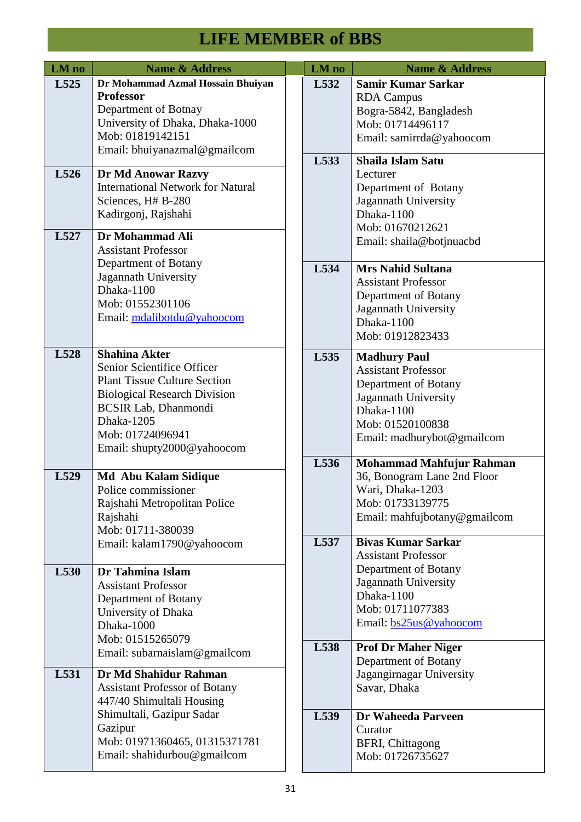| LM no        | <b>Name &amp; Address</b>                                                                                                                                                                                                       |  | LM no        | <b>Name &amp; Address</b>                                                                                                                                         |                                                                                                                                                                     |
|--------------|---------------------------------------------------------------------------------------------------------------------------------------------------------------------------------------------------------------------------------|--|--------------|-------------------------------------------------------------------------------------------------------------------------------------------------------------------|---------------------------------------------------------------------------------------------------------------------------------------------------------------------|
| L525         | Dr Mohammad Azmal Hossain Bhuiyan<br><b>Professor</b><br>Department of Botnay<br>University of Dhaka, Dhaka-1000<br>Mob: 01819142151<br>Email: bhuiyanazmal@gmailcom                                                            |  | L532<br>L533 | <b>Samir Kumar Sarkar</b><br><b>RDA</b> Campus<br>Bogra-5842, Bangladesh<br>Mob: 01714496117<br>Email: samirrda@yahoocom                                          |                                                                                                                                                                     |
| L526<br>L527 | Dr Md Anowar Razvy<br><b>International Network for Natural</b><br>Sciences, H# B-280<br>Kadirgonj, Rajshahi<br>Dr Mohammad Ali                                                                                                  |  |              | <b>Shaila Islam Satu</b><br>Lecturer<br>Department of Botany<br>Jagannath University<br>Dhaka-1100<br>Mob: 01670212621<br>Email: shaila@botjnuacbd                |                                                                                                                                                                     |
|              | <b>Assistant Professor</b><br>Department of Botany<br>Jagannath University<br>Dhaka-1100<br>Mob: 01552301106<br>Email: mdalibotdu@yahoocom                                                                                      |  | L534         | <b>Mrs Nahid Sultana</b><br><b>Assistant Professor</b><br>Department of Botany<br>Jagannath University<br>Dhaka-1100<br>Mob: 01912823433                          |                                                                                                                                                                     |
| L528         | <b>Shahina Akter</b><br>Senior Scientifice Officer<br><b>Plant Tissue Culture Section</b><br><b>Biological Research Division</b><br><b>BCSIR Lab, Dhanmondi</b><br>Dhaka-1205<br>Mob: 01724096941<br>Email: shupty2000@yahoocom |  | L535         | <b>Madhury Paul</b><br><b>Assistant Professor</b><br>Department of Botany<br>Jagannath University<br>Dhaka-1100<br>Mob: 01520100838<br>Email: madhurybot@gmailcom |                                                                                                                                                                     |
| L529         | <b>Md Abu Kalam Sidique</b><br>Police commissioner<br>Rajshahi Metropolitan Police<br>Rajshahi<br>Mob: 01711-380039                                                                                                             |  | L536         | Mohammad Mahfujur Rahman<br>36, Bonogram Lane 2nd Floor<br>Wari, Dhaka-1203<br>Mob: 01733139775<br>Email: mahfujbotany@gmailcom                                   |                                                                                                                                                                     |
| L530         | Email: kalam1790@yahoocom<br>Dr Tahmina Islam<br><b>Assistant Professor</b><br>Department of Botany<br>University of Dhaka<br>Dhaka-1000<br>Mob: 01515265079                                                                    |  |              | L537                                                                                                                                                              | <b>Bivas Kumar Sarkar</b><br><b>Assistant Professor</b><br>Department of Botany<br>Jagannath University<br>Dhaka-1100<br>Mob: 01711077383<br>Email: bs25us@yahoocom |
| L531         | Email: subarnaislam@gmailcom<br>Dr Md Shahidur Rahman<br><b>Assistant Professor of Botany</b><br>447/40 Shimultali Housing                                                                                                      |  | L538         | <b>Prof Dr Maher Niger</b><br>Department of Botany<br>Jagangirnagar University<br>Savar, Dhaka                                                                    |                                                                                                                                                                     |
|              | Shimultali, Gazipur Sadar<br>Gazipur<br>Mob: 01971360465, 01315371781<br>Email: shahidurbou@gmailcom                                                                                                                            |  | L539         | Dr Waheeda Parveen<br>Curator<br><b>BFRI, Chittagong</b><br>Mob: 01726735627                                                                                      |                                                                                                                                                                     |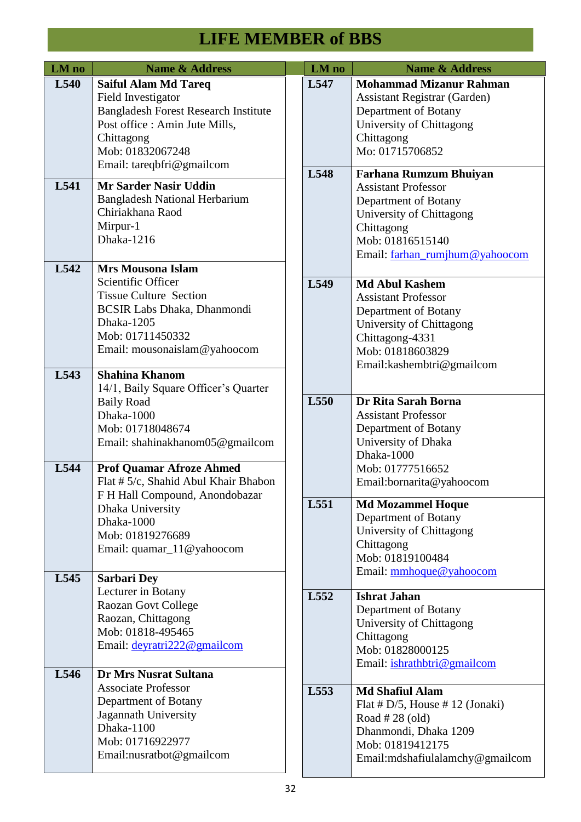| LM no        | <b>Name &amp; Address</b>                                                                                                                                                                                                          |  | LM no | <b>Name &amp; Address</b>                                                                                                                                                           |
|--------------|------------------------------------------------------------------------------------------------------------------------------------------------------------------------------------------------------------------------------------|--|-------|-------------------------------------------------------------------------------------------------------------------------------------------------------------------------------------|
| L540         | <b>Saiful Alam Md Tareq</b><br>Field Investigator<br><b>Bangladesh Forest Research Institute</b><br>Post office : Amin Jute Mills,<br>Chittagong<br>Mob: 01832067248<br>Email: tareqbfri@gmailcom                                  |  | L547  | <b>Mohammad Mizanur Rahman</b><br><b>Assistant Registrar (Garden)</b><br>Department of Botany<br>University of Chittagong<br>Chittagong<br>Mo: 01715706852                          |
| L541         | <b>Mr Sarder Nasir Uddin</b><br><b>Bangladesh National Herbarium</b><br>Chiriakhana Raod<br>Mirpur-1<br>Dhaka-1216                                                                                                                 |  | L548  | <b>Farhana Rumzum Bhuiyan</b><br><b>Assistant Professor</b><br>Department of Botany<br>University of Chittagong<br>Chittagong<br>Mob: 01816515140<br>Email: farhan_rumjhum@yahoocom |
| L542         | <b>Mrs Mousona Islam</b><br>Scientific Officer<br><b>Tissue Culture Section</b><br><b>BCSIR Labs Dhaka, Dhanmondi</b><br>Dhaka-1205<br>Mob: 01711450332<br>Email: mousonaislam@yahoocom                                            |  | L549  | <b>Md Abul Kashem</b><br><b>Assistant Professor</b><br>Department of Botany<br>University of Chittagong<br>Chittagong-4331<br>Mob: 01818603829<br>Email: kashembtri@gmailcom        |
| L543<br>L544 | <b>Shahina Khanom</b><br>14/1, Baily Square Officer's Quarter<br><b>Baily Road</b><br>Dhaka-1000<br>Mob: 01718048674<br>Email: shahinakhanom05@gmailcom<br><b>Prof Quamar Afroze Ahmed</b><br>Flat # 5/c, Shahid Abul Khair Bhabon |  | L550  | Dr Rita Sarah Borna<br><b>Assistant Professor</b><br>Department of Botany<br>University of Dhaka<br>Dhaka-1000<br>Mob: 01777516652<br>Email:bornarita@yahoocom                      |
| L545         | F H Hall Compound, Anondobazar<br>Dhaka University<br>Dhaka-1000<br>Mob: 01819276689<br>Email: quamar_11@yahoocom<br><b>Sarbari Dey</b>                                                                                            |  | L551  | <b>Md Mozammel Hoque</b><br>Department of Botany<br>University of Chittagong<br>Chittagong<br>Mob: 01819100484<br>Email: mmhoque@yahoocom                                           |
|              | Lecturer in Botany<br>Raozan Govt College<br>Raozan, Chittagong<br>Mob: 01818-495465<br>Email: deyratri222@gmailcom                                                                                                                |  | L552  | <b>Ishrat Jahan</b><br>Department of Botany<br>University of Chittagong<br>Chittagong<br>Mob: 01828000125<br>Email: ishrathbtri@gmailcom                                            |
| L546         | <b>Dr Mrs Nusrat Sultana</b><br><b>Associate Professor</b><br>Department of Botany<br>Jagannath University<br>Dhaka-1100<br>Mob: 01716922977<br>Email:nusratbot@gmailcom                                                           |  | L553  | <b>Md Shafiul Alam</b><br>Flat # $D/5$ , House # 12 (Jonaki)<br>Road $#28$ (old)<br>Dhanmondi, Dhaka 1209<br>Mob: 01819412175<br>Email: mdshafiulalamchy@gmailcom                   |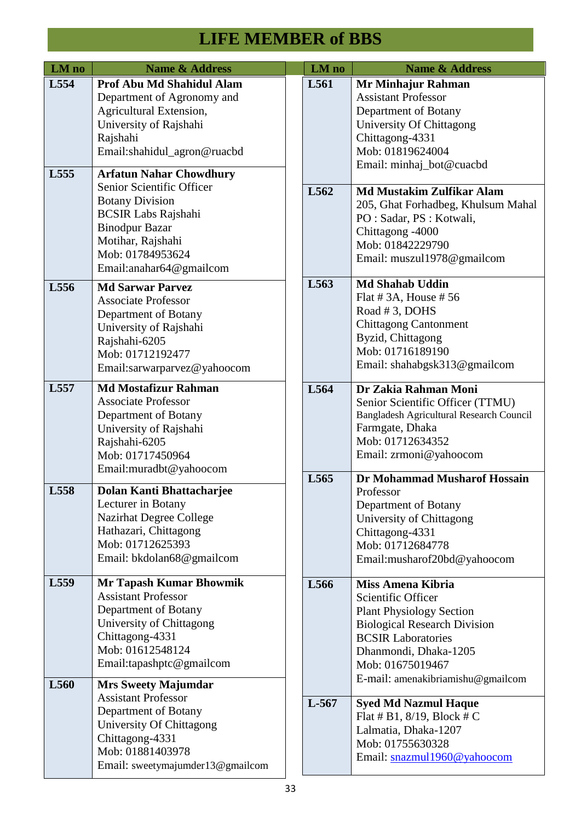| LM no            | <b>Name &amp; Address</b>                                                                                                                                                                                        | LM no   | <b>Name &amp; Address</b>                                                                                                                                                                                                        |
|------------------|------------------------------------------------------------------------------------------------------------------------------------------------------------------------------------------------------------------|---------|----------------------------------------------------------------------------------------------------------------------------------------------------------------------------------------------------------------------------------|
| L554             | Prof Abu Md Shahidul Alam<br>Department of Agronomy and<br>Agricultural Extension,<br>University of Rajshahi<br>Rajshahi<br>Email:shahidul_agron@ruacbd                                                          | L561    | Mr Minhajur Rahman<br><b>Assistant Professor</b><br>Department of Botany<br>University Of Chittagong<br>Chittagong-4331<br>Mob: 01819624004<br>Email: minhaj_bot@cuacbd                                                          |
| L555             | <b>Arfatun Nahar Chowdhury</b><br>Senior Scientific Officer<br><b>Botany Division</b><br><b>BCSIR Labs Rajshahi</b><br><b>Binodpur Bazar</b><br>Motihar, Rajshahi<br>Mob: 01784953624<br>Email:anahar64@gmailcom | L562    | <b>Md Mustakim Zulfikar Alam</b><br>205, Ghat Forhadbeg, Khulsum Mahal<br>PO : Sadar, PS : Kotwali,<br>Chittagong -4000<br>Mob: 01842229790<br>Email: muszul1978@gmailcom                                                        |
| L556             | <b>Md Sarwar Parvez</b><br><b>Associate Professor</b><br>Department of Botany<br>University of Rajshahi<br>Rajshahi-6205<br>Mob: 01712192477<br>Email:sarwarparvez@yahoocom                                      | L563    | <b>Md Shahab Uddin</b><br>Flat # $3A$ , House # $56$<br>Road #3, DOHS<br><b>Chittagong Cantonment</b><br>Byzid, Chittagong<br>Mob: 01716189190<br>Email: shahabgsk313@gmailcom                                                   |
| L <sub>557</sub> | <b>Md Mostafizur Rahman</b><br><b>Associate Professor</b><br>Department of Botany<br>University of Rajshahi<br>Rajshahi-6205<br>Mob: 01717450964<br>Email: muradbt@yahoocom                                      | L564    | Dr Zakia Rahman Moni<br>Senior Scientific Officer (TTMU)<br>Bangladesh Agricultural Research Council<br>Farmgate, Dhaka<br>Mob: 01712634352<br>Email: zrmoni@yahoocom                                                            |
| L558             | <b>Dolan Kanti Bhattachariee</b><br>Lecturer in Botany<br><b>Nazirhat Degree College</b><br>Hathazari, Chittagong<br>Mob: 01712625393<br>Email: bkdolan68@gmailcom                                               | L565    | Dr Mohammad Musharof Hossain<br>Professor<br>Department of Botany<br>University of Chittagong<br>Chittagong-4331<br>Mob: 01712684778<br>Email:musharof20bd@yahoocom                                                              |
| L559             | <b>Mr Tapash Kumar Bhowmik</b><br><b>Assistant Professor</b><br>Department of Botany<br>University of Chittagong<br>Chittagong-4331<br>Mob: 01612548124<br>Email:tapashptc@gmailcom                              | L566    | Miss Amena Kibria<br>Scientific Officer<br><b>Plant Physiology Section</b><br><b>Biological Research Division</b><br><b>BCSIR Laboratories</b><br>Dhanmondi, Dhaka-1205<br>Mob: 01675019467<br>E-mail: amenakibriamishu@gmailcom |
| L560             | <b>Mrs Sweety Majumdar</b><br><b>Assistant Professor</b><br>Department of Botany<br>University Of Chittagong<br>Chittagong-4331<br>Mob: 01881403978<br>Email: sweetymajumder13@gmailcom                          | $L-567$ | <b>Syed Md Nazmul Haque</b><br>Flat # B1, $8/19$ , Block # C<br>Lalmatia, Dhaka-1207<br>Mob: 01755630328<br>Email: snazmul1960@yahoocom                                                                                          |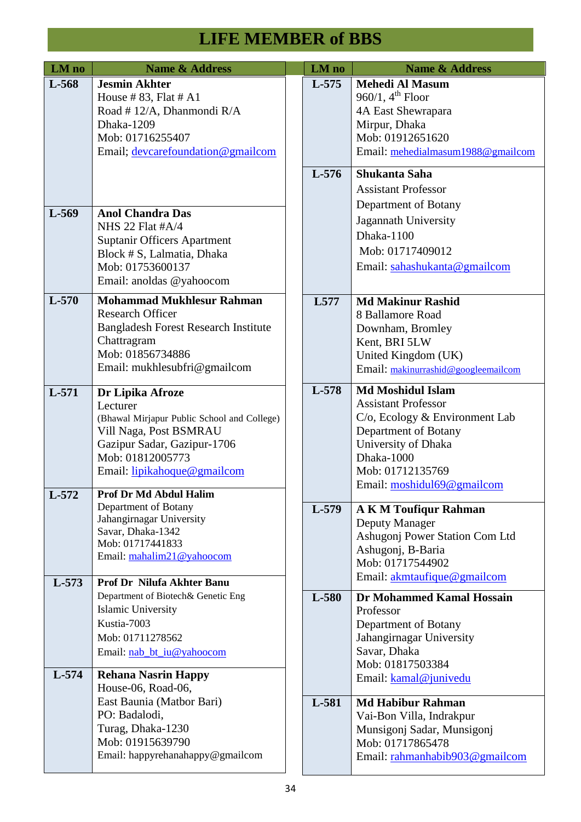| LM no   | <b>Name &amp; Address</b>                                                                                                                                                               | LM no            | <b>Name &amp; Address</b>                                                                                                                                                                               |
|---------|-----------------------------------------------------------------------------------------------------------------------------------------------------------------------------------------|------------------|---------------------------------------------------------------------------------------------------------------------------------------------------------------------------------------------------------|
| L-568   | <b>Jesmin Akhter</b><br>House #83, Flat # $A1$<br>Road #12/A, Dhanmondi R/A<br>Dhaka-1209<br>Mob: 01716255407<br>Email; devcarefoundation@gmailcom                                      | L-575<br>$L-576$ | <b>Mehedi Al Masum</b><br>$960/1, 4th$ Floor<br>4A East Shewrapara<br>Mirpur, Dhaka<br>Mob: 01912651620<br>Email: mehedialmasum1988@gmailcom<br>Shukanta Saha                                           |
| L-569   | <b>Anol Chandra Das</b><br>NHS 22 Flat #A/4<br><b>Suptanir Officers Apartment</b><br>Block # S, Lalmatia, Dhaka<br>Mob: 01753600137<br>Email: anoldas @yahoocom                         |                  | <b>Assistant Professor</b><br>Department of Botany<br>Jagannath University<br>Dhaka-1100<br>Mob: 01717409012<br>Email: sahashukanta@gmailcom                                                            |
| $L-570$ | <b>Mohammad Mukhlesur Rahman</b><br><b>Research Officer</b><br><b>Bangladesh Forest Research Institute</b><br>Chattragram<br>Mob: 01856734886<br>Email: mukhlesubfri@gmailcom           | L577             | <b>Md Makinur Rashid</b><br>8 Ballamore Road<br>Downham, Bromley<br>Kent, BRI 5LW<br>United Kingdom (UK)<br>Email: makinurrashid@googleemailcom                                                         |
| L-571   | Dr Lipika Afroze<br>Lecturer<br>(Bhawal Mirjapur Public School and College)<br>Vill Naga, Post BSMRAU<br>Gazipur Sadar, Gazipur-1706<br>Mob: 01812005773<br>Email: lipikahoque@gmailcom | L-578            | <b>Md Moshidul Islam</b><br><b>Assistant Professor</b><br>C/o, Ecology & Environment Lab<br>Department of Botany<br>University of Dhaka<br>Dhaka-1000<br>Mob: 01712135769<br>Email: moshidul69@gmailcom |
| L-572   | <b>Prof Dr Md Abdul Halim</b><br>Department of Botany<br>Jahangirnagar University<br>Savar, Dhaka-1342<br>Mob: 01717441833<br>Email: mahalim21@yahoocom                                 | L-579            | <b>A K M Toufiqur Rahman</b><br>Deputy Manager<br>Ashugonj Power Station Com Ltd<br>Ashugonj, B-Baria<br>Mob: 01717544902<br>Email: akmtaufique@gmailcom                                                |
| $L-573$ | Prof Dr Nilufa Akhter Banu<br>Department of Biotech& Genetic Eng<br><b>Islamic University</b><br>Kustia-7003<br>Mob: 01711278562<br>Email: nab_bt_iu@yahoocom                           | L-580            | Dr Mohammed Kamal Hossain<br>Professor<br>Department of Botany<br>Jahangirnagar University<br>Savar, Dhaka<br>Mob: 01817503384                                                                          |
| $L-574$ | <b>Rehana Nasrin Happy</b><br>House-06, Road-06,<br>East Baunia (Matbor Bari)<br>PO: Badalodi,<br>Turag, Dhaka-1230<br>Mob: 01915639790<br>Email: happyrehanahappy@gmailcom             | L-581            | Email: kamal@junivedu<br><b>Md Habibur Rahman</b><br>Vai-Bon Villa, Indrakpur<br>Munsigonj Sadar, Munsigonj<br>Mob: 01717865478<br>Email: rahmanhabib903@gmailcom                                       |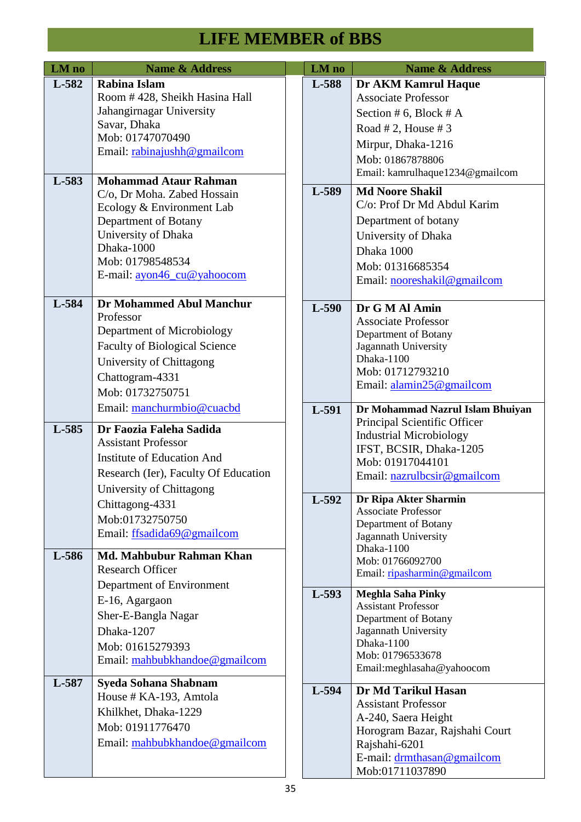| LM no | <b>Name &amp; Address</b>            | LM no   | <b>Name &amp; Address</b>                           |
|-------|--------------------------------------|---------|-----------------------------------------------------|
| L-582 | Rabina Islam                         | L-588   | <b>Dr AKM Kamrul Haque</b>                          |
|       | Room #428, Sheikh Hasina Hall        |         | <b>Associate Professor</b>                          |
|       | Jahangirnagar University             |         | Section # 6, Block # A                              |
|       | Savar, Dhaka                         |         |                                                     |
|       | Mob: 01747070490                     |         | Road # 2, House # 3                                 |
|       | Email: rabinajushh@gmailcom          |         | Mirpur, Dhaka-1216                                  |
|       |                                      |         | Mob: 01867878806                                    |
| L-583 | <b>Mohammad Ataur Rahman</b>         |         | Email: kamrulhaque1234@gmailcom                     |
|       | C/o, Dr Moha. Zabed Hossain          | L-589   | <b>Md Noore Shakil</b>                              |
|       | Ecology & Environment Lab            |         | C/o: Prof Dr Md Abdul Karim                         |
|       | Department of Botany                 |         | Department of botany                                |
|       | University of Dhaka                  |         | University of Dhaka                                 |
|       | Dhaka-1000                           |         | Dhaka 1000                                          |
|       | Mob: 01798548534                     |         | Mob: 01316685354                                    |
|       | E-mail: ayon46_cu@yahoocom           |         | Email: nooreshakil@gmailcom                         |
|       |                                      |         |                                                     |
| L-584 | <b>Dr Mohammed Abul Manchur</b>      | $L-590$ | Dr G M Al Amin                                      |
|       | Professor                            |         | <b>Associate Professor</b>                          |
|       | Department of Microbiology           |         | Department of Botany                                |
|       | <b>Faculty of Biological Science</b> |         | Jagannath University                                |
|       | University of Chittagong             |         | Dhaka-1100                                          |
|       | Chattogram-4331                      |         | Mob: 01712793210                                    |
|       | Mob: 01732750751                     |         | Email: alamin25@gmailcom                            |
|       | Email: manchurmbio@cuacbd            | L-591   | Dr Mohammad Nazrul Islam Bhuiyan                    |
|       |                                      |         | Principal Scientific Officer                        |
| L-585 | Dr Faozia Faleha Sadida              |         | <b>Industrial Microbiology</b>                      |
|       | <b>Assistant Professor</b>           |         | IFST, BCSIR, Dhaka-1205                             |
|       | Institute of Education And           |         | Mob: 01917044101                                    |
|       | Research (Ier), Faculty Of Education |         | Email: nazrulbcsir@gmailcom                         |
|       | University of Chittagong             |         |                                                     |
|       | Chittagong-4331                      | L-592   | Dr Ripa Akter Sharmin<br><b>Associate Professor</b> |
|       | Mob:01732750750                      |         | Department of Botany                                |
|       | Email: ffsadida69@gmailcom           |         | Jagannath University                                |
|       |                                      |         | Dhaka-1100                                          |
| L-586 | Md. Mahbubur Rahman Khan             |         | Mob: 01766092700                                    |
|       | <b>Research Officer</b>              |         | Email: ripasharmin@gmailcom                         |
|       | Department of Environment            | $L-593$ | <b>Meghla Saha Pinky</b>                            |
|       | E-16, Agargaon                       |         | <b>Assistant Professor</b>                          |
|       | Sher-E-Bangla Nagar                  |         | Department of Botany                                |
|       | Dhaka-1207                           |         | Jagannath University                                |
|       | Mob: 01615279393                     |         | Dhaka-1100                                          |
|       | Email: mahbubkhandoe@gmailcom        |         | Mob: 01796533678                                    |
|       |                                      |         | Email: meghlasaha@yahoocom                          |
| L-587 | Syeda Sohana Shabnam                 | L-594   | Dr Md Tarikul Hasan                                 |
|       | House # KA-193, Amtola               |         | <b>Assistant Professor</b>                          |
|       | Khilkhet, Dhaka-1229                 |         | A-240, Saera Height                                 |
|       | Mob: 01911776470                     |         | Horogram Bazar, Rajshahi Court                      |
|       | Email: mahbubkhandoe@gmailcom        |         | Rajshahi-6201                                       |
|       |                                      |         | E-mail: drmthasan@gmailcom                          |
|       |                                      |         | Mob:01711037890                                     |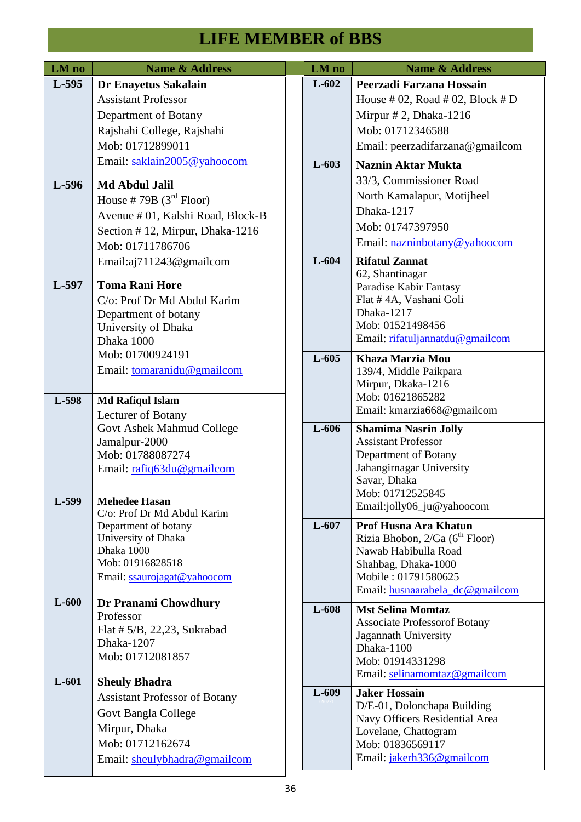| LM no   | <b>Name &amp; Address</b>                           | LM no   | <b>Name &amp; Address</b>                              |
|---------|-----------------------------------------------------|---------|--------------------------------------------------------|
| $L-595$ | Dr Enayetus Sakalain                                | $L-602$ | Peerzadi Farzana Hossain                               |
|         | <b>Assistant Professor</b>                          |         | House # 02, Road # 02, Block # D                       |
|         | Department of Botany                                |         | Mirpur #2, Dhaka-1216                                  |
|         | Rajshahi College, Rajshahi                          |         | Mob: 01712346588                                       |
|         | Mob: 01712899011                                    |         | Email: peerzadifarzana@gmailcom                        |
|         | Email: saklain2005@yahoocom                         | $L-603$ | <b>Naznin Aktar Mukta</b>                              |
| L-596   | <b>Md Abdul Jalil</b>                               |         | 33/3, Commissioner Road                                |
|         | House #79B $(3rd$ Floor)                            |         | North Kamalapur, Motijheel                             |
|         | Avenue # 01, Kalshi Road, Block-B                   |         | Dhaka-1217                                             |
|         | Section #12, Mirpur, Dhaka-1216                     |         | Mob: 01747397950                                       |
|         | Mob: 01711786706                                    |         | Email: nazninbotany@yahoocom                           |
|         | Email:aj711243@gmailcom                             | $L-604$ | <b>Rifatul Zannat</b>                                  |
| L-597   | <b>Toma Rani Hore</b>                               |         | 62, Shantinagar<br>Paradise Kabir Fantasy              |
|         | C/o: Prof Dr Md Abdul Karim                         |         | Flat #4A, Vashani Goli                                 |
|         | Department of botany                                |         | Dhaka-1217                                             |
|         | University of Dhaka                                 |         | Mob: 01521498456                                       |
|         | Dhaka 1000                                          |         | Email: rifatuljannatdu@gmailcom                        |
|         | Mob: 01700924191                                    | $L-605$ | Khaza Marzia Mou                                       |
|         | Email: tomaranidu@gmailcom                          |         | 139/4, Middle Paikpara                                 |
|         |                                                     |         | Mirpur, Dkaka-1216<br>Mob: 01621865282                 |
| L-598   | <b>Md Rafiqul Islam</b>                             |         | Email: kmarzia668@gmailcom                             |
|         | Lecturer of Botany<br>Govt Ashek Mahmud College     | L-606   | <b>Shamima Nasrin Jolly</b>                            |
|         | Jamalpur-2000                                       |         | <b>Assistant Professor</b>                             |
|         | Mob: 01788087274                                    |         | Department of Botany                                   |
|         | Email: rafiq63du@gmailcom                           |         | Jahangirnagar University                               |
|         |                                                     |         | Savar, Dhaka<br>Mob: 01712525845                       |
| L-599   | <b>Mehedee Hasan</b>                                |         | Email:jolly06_ju@yahoocom                              |
|         | C/o: Prof Dr Md Abdul Karim<br>Department of botany | $L-607$ | <b>Prof Husna Ara Khatun</b>                           |
|         | University of Dhaka                                 |         | Rizia Bhobon, 2/Ga (6 <sup>th</sup> Floor)             |
|         | Dhaka 1000                                          |         | Nawab Habibulla Road                                   |
|         | Mob: 01916828518                                    |         | Shahbag, Dhaka-1000                                    |
|         | Email: ssaurojagat@yahoocom                         |         | Mobile: 01791580625<br>Email: husnaarabela_dc@gmailcom |
| $L-600$ | Dr Pranami Chowdhury                                | L-608   | <b>Mst Selina Momtaz</b>                               |
|         | Professor                                           |         | <b>Associate Professorof Botany</b>                    |
|         | Flat $# 5/B$ , 22,23, Sukrabad                      |         | Jagannath University                                   |
|         | Dhaka-1207<br>Mob: 01712081857                      |         | Dhaka-1100                                             |
|         |                                                     |         | Mob: 01914331298<br>Email: selinamomtaz@gmailcom       |
| $L-601$ | <b>Sheuly Bhadra</b>                                |         |                                                        |
|         | <b>Assistant Professor of Botany</b>                | $L-609$ | <b>Jaker Hossain</b><br>D/E-01, Dolonchapa Building    |
|         | Govt Bangla College                                 |         | Navy Officers Residential Area                         |
|         | Mirpur, Dhaka                                       |         | Lovelane, Chattogram                                   |
|         | Mob: 01712162674                                    |         | Mob: 01836569117                                       |
|         | Email: sheulybhadra@gmailcom                        |         | Email: jakerh336@gmailcom                              |